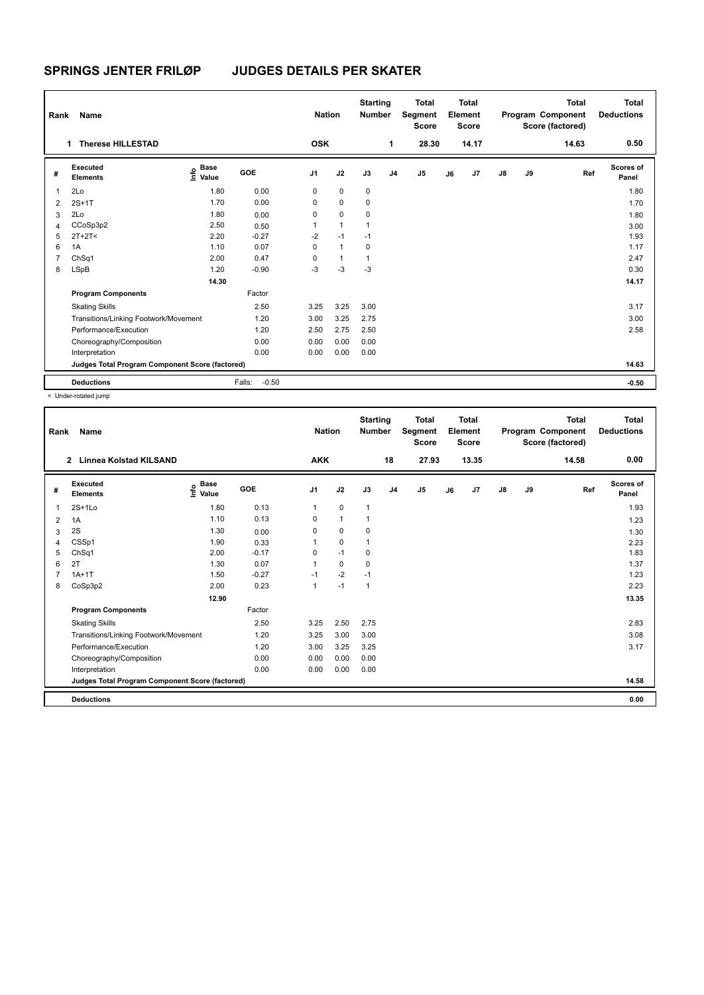| Rank           | Name                                            |                                  |                   | <b>Nation</b>  |                | <b>Starting</b><br><b>Number</b> |                | Total<br>Segment<br><b>Score</b> |    | <b>Total</b><br>Element<br><b>Score</b> |               |    | <b>Total</b><br>Program Component<br>Score (factored) | <b>Total</b><br><b>Deductions</b> |
|----------------|-------------------------------------------------|----------------------------------|-------------------|----------------|----------------|----------------------------------|----------------|----------------------------------|----|-----------------------------------------|---------------|----|-------------------------------------------------------|-----------------------------------|
|                | <b>Therese HILLESTAD</b><br>1                   |                                  |                   | <b>OSK</b>     |                |                                  | 1              | 28.30                            |    | 14.17                                   |               |    | 14.63                                                 | 0.50                              |
| #              | <b>Executed</b><br><b>Elements</b>              | <b>Base</b><br>o Base<br>E Value | GOE               | J <sub>1</sub> | J2             | J3                               | J <sub>4</sub> | J <sub>5</sub>                   | J6 | J7                                      | $\mathsf{J}8$ | J9 | Ref                                                   | <b>Scores of</b><br>Panel         |
| $\overline{1}$ | 2Lo                                             | 1.80                             | 0.00              | 0              | $\mathbf 0$    | 0                                |                |                                  |    |                                         |               |    |                                                       | 1.80                              |
| $\overline{2}$ | $2S+1T$                                         | 1.70                             | 0.00              | 0              | $\mathbf 0$    | 0                                |                |                                  |    |                                         |               |    |                                                       | 1.70                              |
| 3              | 2Lo                                             | 1.80                             | 0.00              | 0              | $\mathbf 0$    | 0                                |                |                                  |    |                                         |               |    |                                                       | 1.80                              |
| $\overline{4}$ | CCoSp3p2                                        | 2.50                             | 0.50              | 1              | $\mathbf{1}$   | 1                                |                |                                  |    |                                         |               |    |                                                       | 3.00                              |
| 5              | $2T+2T2$                                        | 2.20                             | $-0.27$           | $-2$           | $-1$           | $-1$                             |                |                                  |    |                                         |               |    |                                                       | 1.93                              |
| 6              | 1A                                              | 1.10                             | 0.07              | 0              | $\mathbf{1}$   | 0                                |                |                                  |    |                                         |               |    |                                                       | 1.17                              |
| 7              | ChSq1                                           | 2.00                             | 0.47              | 0              | $\overline{1}$ |                                  |                |                                  |    |                                         |               |    |                                                       | 2.47                              |
| 8              | LSpB                                            | 1.20                             | $-0.90$           | $-3$           | $-3$           | $-3$                             |                |                                  |    |                                         |               |    |                                                       | 0.30                              |
|                |                                                 | 14.30                            |                   |                |                |                                  |                |                                  |    |                                         |               |    |                                                       | 14.17                             |
|                | <b>Program Components</b>                       |                                  | Factor            |                |                |                                  |                |                                  |    |                                         |               |    |                                                       |                                   |
|                | <b>Skating Skills</b>                           |                                  | 2.50              | 3.25           | 3.25           | 3.00                             |                |                                  |    |                                         |               |    |                                                       | 3.17                              |
|                | Transitions/Linking Footwork/Movement           |                                  | 1.20              | 3.00           | 3.25           | 2.75                             |                |                                  |    |                                         |               |    |                                                       | 3.00                              |
|                | Performance/Execution                           |                                  | 1.20              | 2.50           | 2.75           | 2.50                             |                |                                  |    |                                         |               |    |                                                       | 2.58                              |
|                | Choreography/Composition                        |                                  | 0.00              | 0.00           | 0.00           | 0.00                             |                |                                  |    |                                         |               |    |                                                       |                                   |
|                | Interpretation                                  |                                  | 0.00              | 0.00           | 0.00           | 0.00                             |                |                                  |    |                                         |               |    |                                                       |                                   |
|                | Judges Total Program Component Score (factored) |                                  |                   |                |                |                                  |                |                                  |    |                                         |               |    |                                                       | 14.63                             |
|                | <b>Deductions</b>                               |                                  | $-0.50$<br>Falls: |                |                |                                  |                |                                  |    |                                         |               |    |                                                       | $-0.50$                           |

< Under-rotated jump

|                                                                                                               | 18                   | 27.93 |          |                     |       |                    |
|---------------------------------------------------------------------------------------------------------------|----------------------|-------|----------|---------------------|-------|--------------------|
| <b>AKK</b><br>$\overline{2}$<br><b>Linnea Kolstad KILSAND</b>                                                 |                      |       | 13.35    |                     | 14.58 | 0.00               |
| Executed<br>$\epsilon$ Base<br>$\epsilon$ Value<br><b>GOE</b><br>J <sub>1</sub><br>J2<br>#<br><b>Elements</b> | J3<br>J <sub>4</sub> | J5    | J7<br>J6 | $\mathsf{J}8$<br>J9 | Ref   | Scores of<br>Panel |
| 0.13<br>$2S+1L0$<br>1.80<br>0<br>1<br>1                                                                       | $\mathbf{1}$         |       |          |                     |       | 1.93               |
| 0.13<br>1.10<br>$\mathbf{1}$<br>0<br>1A<br>2                                                                  |                      |       |          |                     |       | 1.23               |
| 2S<br>1.30<br>$\Omega$<br>0<br>0.00<br>3                                                                      | $\Omega$             |       |          |                     |       | 1.30               |
| $\mathbf 0$<br>CSSp1<br>1.90<br>0.33<br>4                                                                     | 1                    |       |          |                     |       | 2.23               |
| $-0.17$<br>$-1$<br>ChSq1<br>2.00<br>0<br>5                                                                    | 0                    |       |          |                     |       | 1.83               |
| 2T<br>0.07<br>1.30<br>0<br>6                                                                                  | 0                    |       |          |                     |       | 1.37               |
| $-2$<br>$-0.27$<br>$1A+1T$<br>1.50<br>$-1$                                                                    | $-1$                 |       |          |                     |       | 1.23               |
| $-1$<br>CoSp3p2<br>2.00<br>0.23<br>8<br>1                                                                     | 1                    |       |          |                     |       | 2.23               |
| 12.90                                                                                                         |                      |       |          |                     |       | 13.35              |
| <b>Program Components</b><br>Factor                                                                           |                      |       |          |                     |       |                    |
| 2.50<br>3.25<br>2.50<br><b>Skating Skills</b>                                                                 | 2.75                 |       |          |                     |       | 2.83               |
| 1.20<br>3.00<br>Transitions/Linking Footwork/Movement<br>3.25                                                 | 3.00                 |       |          |                     |       | 3.08               |
| Performance/Execution<br>1.20<br>3.25<br>3.00                                                                 | 3.25                 |       |          |                     |       | 3.17               |
| 0.00<br>Choreography/Composition<br>0.00<br>0.00                                                              | 0.00                 |       |          |                     |       |                    |
| 0.00<br>0.00<br>Interpretation<br>0.00                                                                        | 0.00                 |       |          |                     |       |                    |
| Judges Total Program Component Score (factored)                                                               |                      |       |          |                     |       | 14.58              |
| <b>Deductions</b>                                                                                             |                      |       |          |                     |       | 0.00               |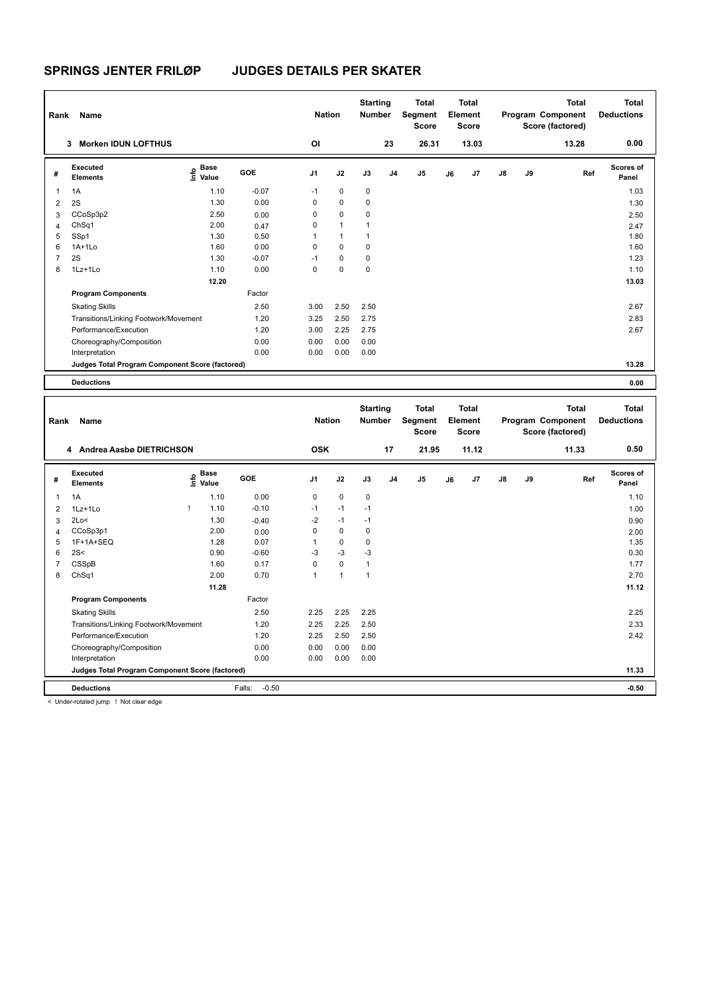| Rank                | Name                                            |                                           |                   | <b>Nation</b>     |                   | <b>Starting</b><br>Number        |                | <b>Total</b><br>Segment<br><b>Score</b> |    | <b>Total</b><br>Element<br><b>Score</b> |    |    | <b>Total</b><br>Program Component<br>Score (factored) | <b>Total</b><br><b>Deductions</b> |
|---------------------|-------------------------------------------------|-------------------------------------------|-------------------|-------------------|-------------------|----------------------------------|----------------|-----------------------------------------|----|-----------------------------------------|----|----|-------------------------------------------------------|-----------------------------------|
|                     | 3 Morken IDUN LOFTHUS                           |                                           |                   | OI                |                   |                                  | 23             | 26.31                                   |    | 13.03                                   |    |    | 13.28                                                 | 0.00                              |
| #                   | Executed<br><b>Elements</b>                     | $\overset{\circ}{\text{E}}$ Value         | GOE               | J1                | J2                | J3                               | J4             | J5                                      | J6 | J7                                      | J8 | J9 | Ref                                                   | Scores of<br>Panel                |
| $\mathbf{1}$        | 1A                                              | 1.10                                      | $-0.07$           | $-1$              | 0                 | 0                                |                |                                         |    |                                         |    |    |                                                       | 1.03                              |
| $\overline{2}$      | 2S                                              | 1.30                                      | 0.00              | 0                 | 0                 | 0                                |                |                                         |    |                                         |    |    |                                                       | 1.30                              |
| 3                   | CCoSp3p2                                        | 2.50                                      | 0.00              | $\mathbf 0$       | 0                 | $\mathbf 0$                      |                |                                         |    |                                         |    |    |                                                       | 2.50                              |
| $\overline{4}$      | ChSq1                                           | 2.00                                      | 0.47              | $\mathsf 0$       | $\mathbf{1}$      | $\mathbf{1}$                     |                |                                         |    |                                         |    |    |                                                       | 2.47                              |
| 5                   | SSp1                                            | 1.30                                      | 0.50              | 1                 | $\mathbf{1}$      | $\mathbf{1}$                     |                |                                         |    |                                         |    |    |                                                       | 1.80                              |
| 6                   | $1A+1Lo$                                        | 1.60                                      | 0.00              | $\mathbf 0$       | $\mathbf 0$       | $\mathbf 0$                      |                |                                         |    |                                         |    |    |                                                       | 1.60                              |
| $\overline{7}$      | 2S                                              | 1.30                                      | $-0.07$           | $-1$              | $\mathbf 0$       | 0                                |                |                                         |    |                                         |    |    |                                                       | 1.23                              |
| 8                   | 1Lz+1Lo                                         | 1.10                                      | 0.00              | $\mathbf 0$       | $\mathbf 0$       | 0                                |                |                                         |    |                                         |    |    |                                                       | 1.10                              |
|                     |                                                 | 12.20                                     |                   |                   |                   |                                  |                |                                         |    |                                         |    |    |                                                       | 13.03                             |
|                     | <b>Program Components</b>                       |                                           | Factor            |                   |                   |                                  |                |                                         |    |                                         |    |    |                                                       |                                   |
|                     | <b>Skating Skills</b>                           |                                           | 2.50              | 3.00              | 2.50              | 2.50                             |                |                                         |    |                                         |    |    |                                                       | 2.67                              |
|                     | Transitions/Linking Footwork/Movement           |                                           | 1.20              | 3.25              | 2.50              | 2.75                             |                |                                         |    |                                         |    |    |                                                       | 2.83                              |
|                     | Performance/Execution                           |                                           | 1.20              | 3.00              | 2.25              | 2.75                             |                |                                         |    |                                         |    |    |                                                       | 2.67                              |
|                     | Choreography/Composition                        |                                           | 0.00              | 0.00              | 0.00              | 0.00                             |                |                                         |    |                                         |    |    |                                                       |                                   |
|                     | Interpretation                                  |                                           | 0.00              | 0.00              | 0.00              | 0.00                             |                |                                         |    |                                         |    |    |                                                       |                                   |
|                     | Judges Total Program Component Score (factored) |                                           |                   |                   |                   |                                  |                |                                         |    |                                         |    |    |                                                       | 13.28                             |
|                     |                                                 |                                           |                   |                   |                   |                                  |                |                                         |    |                                         |    |    |                                                       |                                   |
|                     | <b>Deductions</b>                               |                                           |                   |                   |                   |                                  |                |                                         |    |                                         |    |    |                                                       | 0.00                              |
|                     |                                                 |                                           |                   |                   |                   |                                  |                |                                         |    |                                         |    |    |                                                       |                                   |
| Rank                | Name                                            |                                           |                   | <b>Nation</b>     |                   | <b>Starting</b><br><b>Number</b> |                | <b>Total</b><br>Segment<br><b>Score</b> |    | <b>Total</b><br>Element<br><b>Score</b> |    |    | <b>Total</b><br>Program Component<br>Score (factored) | <b>Total</b><br><b>Deductions</b> |
|                     | 4 Andrea Aasbø DIETRICHSON                      |                                           |                   | <b>OSK</b>        |                   |                                  | 17             | 21.95                                   |    | 11.12                                   |    |    | 11.33                                                 | 0.50                              |
| #                   | Executed<br><b>Elements</b>                     | $\frac{e}{E}$ Base<br>$\frac{e}{E}$ Value | GOE               | J1                | J2                | J3                               | J <sub>4</sub> | J <sub>5</sub>                          | J6 | J7                                      | J8 | J9 | Ref                                                   | <b>Scores of</b><br>Panel         |
| 1                   |                                                 |                                           |                   | $\mathsf 0$       | $\mathbf 0$       | 0                                |                |                                         |    |                                         |    |    |                                                       |                                   |
|                     | 1A                                              | 1.10<br>Ţ                                 | 0.00              |                   | $-1$              |                                  |                |                                         |    |                                         |    |    |                                                       | 1.10                              |
| $\overline{2}$      | 1Lz+1Lo                                         | 1.10                                      | $-0.10$           | $-1$              |                   | $-1$                             |                |                                         |    |                                         |    |    |                                                       | 1.00                              |
| 3                   | 2Lo<                                            | 1.30                                      | $-0.40$           | $-2$              | $-1$              | $-1$                             |                |                                         |    |                                         |    |    |                                                       | 0.90                              |
| $\overline{4}$      | CCoSp3p1                                        | 2.00                                      | 0.00              | $\mathbf 0$<br>1  | $\mathbf 0$<br>0  | $\mathbf 0$<br>$\mathbf 0$       |                |                                         |    |                                         |    |    |                                                       | 2.00                              |
| 5                   | 1F+1A+SEQ                                       | 1.28                                      | 0.07              |                   |                   |                                  |                |                                         |    |                                         |    |    |                                                       | 1.35                              |
| 6                   | 2S<                                             | 0.90<br>1.60                              | $-0.60$           | -3<br>$\mathbf 0$ | -3<br>$\mathbf 0$ | -3<br>$\mathbf{1}$               |                |                                         |    |                                         |    |    |                                                       | 0.30                              |
| $\overline{7}$<br>8 | CSSpB                                           | 2.00                                      | 0.17<br>0.70      | $\mathbf{1}$      | $\mathbf{1}$      | $\mathbf{1}$                     |                |                                         |    |                                         |    |    |                                                       | 1.77<br>2.70                      |
|                     | Ch <sub>Sq1</sub>                               |                                           |                   |                   |                   |                                  |                |                                         |    |                                         |    |    |                                                       |                                   |
|                     |                                                 | 11.28                                     |                   |                   |                   |                                  |                |                                         |    |                                         |    |    |                                                       | 11.12                             |
|                     | <b>Program Components</b>                       |                                           | Factor            |                   |                   |                                  |                |                                         |    |                                         |    |    |                                                       |                                   |
|                     | <b>Skating Skills</b>                           |                                           | 2.50              | 2.25              | 2.25              | 2.25                             |                |                                         |    |                                         |    |    |                                                       | 2.25                              |
|                     | Transitions/Linking Footwork/Movement           |                                           | 1.20              | 2.25              | 2.25              | 2.50                             |                |                                         |    |                                         |    |    |                                                       | 2.33                              |
|                     | Performance/Execution                           |                                           | 1.20              | 2.25              | 2.50              | 2.50                             |                |                                         |    |                                         |    |    |                                                       | 2.42                              |
|                     | Choreography/Composition                        |                                           | 0.00              | 0.00              | 0.00              | 0.00                             |                |                                         |    |                                         |    |    |                                                       |                                   |
|                     | Interpretation                                  |                                           | 0.00              | 0.00              | 0.00              | 0.00                             |                |                                         |    |                                         |    |    |                                                       |                                   |
|                     | Judges Total Program Component Score (factored) |                                           | Falls:<br>$-0.50$ |                   |                   |                                  |                |                                         |    |                                         |    |    |                                                       | 11.33<br>$-0.50$                  |

< Under-rotated jump ! Not clear edge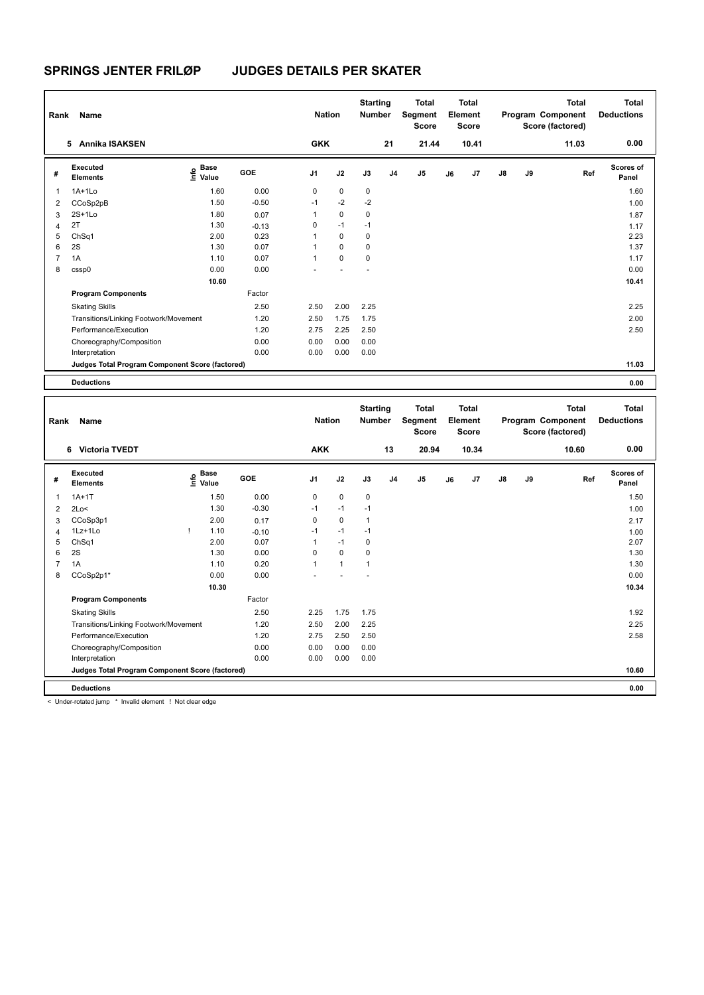| Rank           | Name                                            |                             |         | <b>Nation</b>  |          | <b>Starting</b><br><b>Number</b> |                | <b>Total</b><br>Segment<br><b>Score</b> |    | <b>Total</b><br>Element<br><b>Score</b> |               |    | <b>Total</b><br>Program Component<br>Score (factored) | <b>Total</b><br><b>Deductions</b> |
|----------------|-------------------------------------------------|-----------------------------|---------|----------------|----------|----------------------------------|----------------|-----------------------------------------|----|-----------------------------------------|---------------|----|-------------------------------------------------------|-----------------------------------|
|                | 5 Annika ISAKSEN                                |                             |         | <b>GKK</b>     |          |                                  | 21             | 21.44                                   |    | 10.41                                   |               |    | 11.03                                                 | 0.00                              |
| #              | <b>Executed</b><br><b>Elements</b>              | <b>Base</b><br>luų<br>Value | GOE     | J <sub>1</sub> | J2       | J3                               | J <sub>4</sub> | J <sub>5</sub>                          | J6 | J7                                      | $\mathsf{J}8$ | J9 | Ref                                                   | Scores of<br>Panel                |
| 1              | $1A+1L0$                                        | 1.60                        | 0.00    | 0              | 0        | $\mathbf 0$                      |                |                                         |    |                                         |               |    |                                                       | 1.60                              |
| 2              | CCoSp2pB                                        | 1.50                        | $-0.50$ | $-1$           | $-2$     | $-2$                             |                |                                         |    |                                         |               |    |                                                       | 1.00                              |
| 3              | $2S+1L0$                                        | 1.80                        | 0.07    | $\mathbf{1}$   | $\Omega$ | $\mathbf 0$                      |                |                                         |    |                                         |               |    |                                                       | 1.87                              |
| 4              | 2T                                              | 1.30                        | $-0.13$ | 0              | $-1$     | $-1$                             |                |                                         |    |                                         |               |    |                                                       | 1.17                              |
| 5              | Ch <sub>Sq1</sub>                               | 2.00                        | 0.23    | 1              | $\Omega$ | $\mathbf 0$                      |                |                                         |    |                                         |               |    |                                                       | 2.23                              |
| 6              | 2S                                              | 1.30                        | 0.07    | 1              | $\Omega$ | $\mathbf 0$                      |                |                                         |    |                                         |               |    |                                                       | 1.37                              |
| $\overline{7}$ | 1A                                              | 1.10                        | 0.07    | 1              | $\Omega$ | $\Omega$                         |                |                                         |    |                                         |               |    |                                                       | 1.17                              |
| 8              | cssp0                                           | 0.00                        | 0.00    |                |          |                                  |                |                                         |    |                                         |               |    |                                                       | 0.00                              |
|                |                                                 | 10.60                       |         |                |          |                                  |                |                                         |    |                                         |               |    |                                                       | 10.41                             |
|                | <b>Program Components</b>                       |                             | Factor  |                |          |                                  |                |                                         |    |                                         |               |    |                                                       |                                   |
|                | <b>Skating Skills</b>                           |                             | 2.50    | 2.50           | 2.00     | 2.25                             |                |                                         |    |                                         |               |    |                                                       | 2.25                              |
|                | Transitions/Linking Footwork/Movement           |                             | 1.20    | 2.50           | 1.75     | 1.75                             |                |                                         |    |                                         |               |    |                                                       | 2.00                              |
|                | Performance/Execution                           |                             | 1.20    | 2.75           | 2.25     | 2.50                             |                |                                         |    |                                         |               |    |                                                       | 2.50                              |
|                | Choreography/Composition                        |                             | 0.00    | 0.00           | 0.00     | 0.00                             |                |                                         |    |                                         |               |    |                                                       |                                   |
|                | Interpretation                                  |                             | 0.00    | 0.00           | 0.00     | 0.00                             |                |                                         |    |                                         |               |    |                                                       |                                   |
|                | Judges Total Program Component Score (factored) |                             |         |                |          |                                  |                |                                         |    |                                         |               |    |                                                       | 11.03                             |
|                | <b>Deductions</b>                               |                             |         |                |          |                                  |                |                                         |    |                                         |               |    |                                                       | 0.00                              |
|                |                                                 |                             |         |                |          |                                  |                |                                         |    |                                         |               |    |                                                       |                                   |
| Rank           | Name                                            |                             |         | <b>Nation</b>  |          | <b>Starting</b><br><b>Number</b> |                | <b>Total</b><br>Segment<br><b>Score</b> |    | <b>Total</b><br>Element<br><b>Score</b> |               |    | <b>Total</b><br>Program Component<br>Score (factored) | <b>Total</b><br><b>Deductions</b> |
|                | 6 Victoria TVEDT                                |                             |         | <b>AKK</b>     |          |                                  | 13             | 20.94                                   |    | 10.34                                   |               |    | 10.60                                                 | 0.00                              |
| #              | <b>Executed</b><br><b>Elements</b>              | <b>Base</b><br>۴٥<br>Value  | GOE     | J1             | J2       | J3                               | J <sub>4</sub> | J5                                      | J6 | J7                                      | J8            | J9 | Ref                                                   | <b>Scores of</b><br>Panel         |
| 1              | $1A+1T$                                         | 1.50                        | 0.00    | 0              | 0        | 0                                |                |                                         |    |                                         |               |    |                                                       | 1.50                              |

 2Lo< 1.30 -0.30 -1 -1 -1 1.00 CCoSp3p1 2.00 0.17 0 0 1 2.17 1Lz+1Lo ! 1.10 -0.10 -1 -1 -1 1.00 ChSq1 2.00 0.07 1 -1 0 2.07  $6 \quad 2S$  1.30  $1.30 \quad 0.00 \quad 0 \quad 0$ 7 1A 1.10 0.20 1 1 1 1 2.50 1.30 CCoSp2p1\* 0.00 0.00 - - - 0.00

Skating Skills 2.25 1.75 1.75 2.50 1.92

Transitions/Linking Footwork/Movement 1.20 2.50 2.00 2.25 2.25 Performance/Execution 2.58 2.50 2.75 2.50 2.50 2.50 2.50 2.50 2.50 2.58 2.58 2.58

**Judges Total Program Component Score (factored) 10.60**

Factor

Choreography/Composition 0.00 0.00 0.00 0.00 0.00 Interpretation 0.00 0.00 0.00 0.00

 **10.30 10.34**

**Deductions 0.00**

< Under-rotated jump \* Invalid element ! Not clear edge

**Program Components**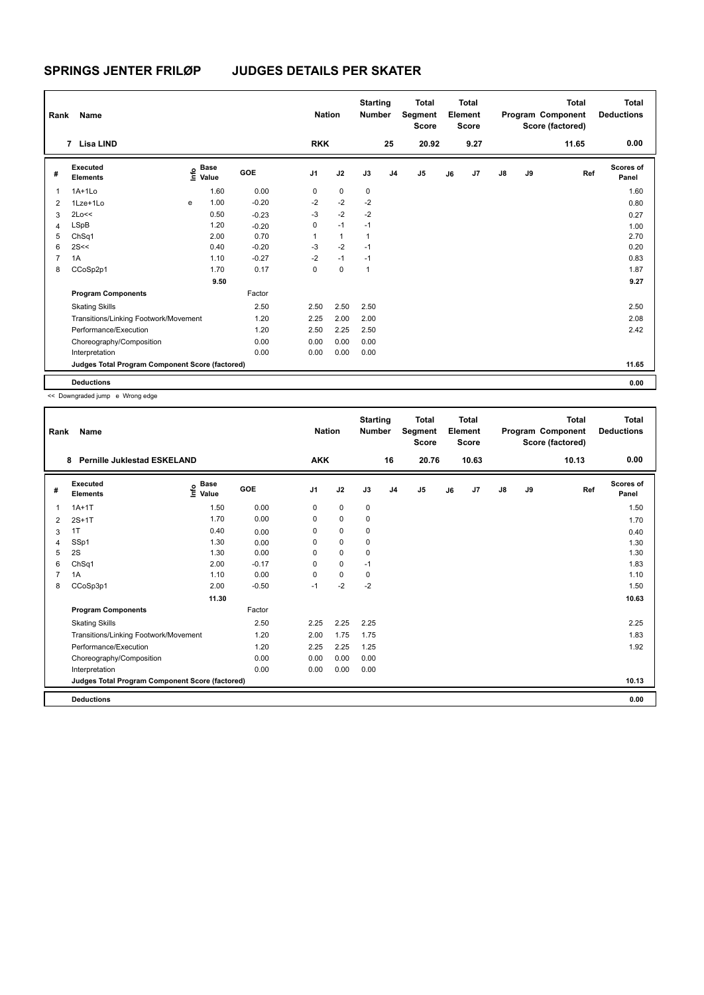| Rank           | Name                                            |   |                                  |         | <b>Nation</b>  |              | <b>Starting</b><br><b>Number</b> |                | <b>Total</b><br>Segment<br><b>Score</b> |    | <b>Total</b><br>Element<br>Score |               |    | <b>Total</b><br>Program Component<br>Score (factored) | <b>Total</b><br><b>Deductions</b> |
|----------------|-------------------------------------------------|---|----------------------------------|---------|----------------|--------------|----------------------------------|----------------|-----------------------------------------|----|----------------------------------|---------------|----|-------------------------------------------------------|-----------------------------------|
|                | 7 Lisa LIND                                     |   |                                  |         | <b>RKK</b>     |              |                                  | 25             | 20.92                                   |    | 9.27                             |               |    | 11.65                                                 | 0.00                              |
| #              | Executed<br><b>Elements</b>                     |   | <b>Base</b><br>e Base<br>⊆ Value | GOE     | J <sub>1</sub> | J2           | J3                               | J <sub>4</sub> | J <sub>5</sub>                          | J6 | J7                               | $\mathsf{J}8$ | J9 | Ref                                                   | Scores of<br>Panel                |
| 1              | $1A+1Lo$                                        |   | 1.60                             | 0.00    | 0              | $\mathbf 0$  | $\mathbf 0$                      |                |                                         |    |                                  |               |    |                                                       | 1.60                              |
| $\overline{2}$ | 1Lze+1Lo                                        | e | 1.00                             | $-0.20$ | $-2$           | $-2$         | $-2$                             |                |                                         |    |                                  |               |    |                                                       | 0.80                              |
| 3              | 2Lo<<                                           |   | 0.50                             | $-0.23$ | $-3$           | $-2$         | $-2$                             |                |                                         |    |                                  |               |    |                                                       | 0.27                              |
| $\overline{4}$ | LSpB                                            |   | 1.20                             | $-0.20$ | 0              | $-1$         | $-1$                             |                |                                         |    |                                  |               |    |                                                       | 1.00                              |
| 5              | ChSq1                                           |   | 2.00                             | 0.70    | 1              | $\mathbf{1}$ | $\overline{1}$                   |                |                                         |    |                                  |               |    |                                                       | 2.70                              |
| 6              | 2S<<                                            |   | 0.40                             | $-0.20$ | $-3$           | $-2$         | $-1$                             |                |                                         |    |                                  |               |    |                                                       | 0.20                              |
| $\overline{7}$ | 1A                                              |   | 1.10                             | $-0.27$ | $-2$           | $-1$         | $-1$                             |                |                                         |    |                                  |               |    |                                                       | 0.83                              |
| 8              | CCoSp2p1                                        |   | 1.70                             | 0.17    | $\mathbf 0$    | $\mathbf 0$  | $\overline{1}$                   |                |                                         |    |                                  |               |    |                                                       | 1.87                              |
|                |                                                 |   | 9.50                             |         |                |              |                                  |                |                                         |    |                                  |               |    |                                                       | 9.27                              |
|                | <b>Program Components</b>                       |   |                                  | Factor  |                |              |                                  |                |                                         |    |                                  |               |    |                                                       |                                   |
|                | <b>Skating Skills</b>                           |   |                                  | 2.50    | 2.50           | 2.50         | 2.50                             |                |                                         |    |                                  |               |    |                                                       | 2.50                              |
|                | Transitions/Linking Footwork/Movement           |   |                                  | 1.20    | 2.25           | 2.00         | 2.00                             |                |                                         |    |                                  |               |    |                                                       | 2.08                              |
|                | Performance/Execution                           |   |                                  | 1.20    | 2.50           | 2.25         | 2.50                             |                |                                         |    |                                  |               |    |                                                       | 2.42                              |
|                | Choreography/Composition                        |   |                                  | 0.00    | 0.00           | 0.00         | 0.00                             |                |                                         |    |                                  |               |    |                                                       |                                   |
|                | Interpretation                                  |   |                                  | 0.00    | 0.00           | 0.00         | 0.00                             |                |                                         |    |                                  |               |    |                                                       |                                   |
|                | Judges Total Program Component Score (factored) |   |                                  |         |                |              |                                  |                |                                         |    |                                  |               |    |                                                       | 11.65                             |
|                | <b>Deductions</b>                               |   |                                  |         |                |              |                                  |                |                                         |    |                                  |               |    |                                                       | 0.00                              |

<< Downgraded jump e Wrong edge

| Rank | Name                                            |                                     |         | <b>Nation</b>  |             | <b>Starting</b><br><b>Number</b> |                | <b>Total</b><br>Segment<br><b>Score</b> |    | Total<br>Element<br><b>Score</b> |               |    | <b>Total</b><br>Program Component<br>Score (factored) | <b>Total</b><br><b>Deductions</b> |
|------|-------------------------------------------------|-------------------------------------|---------|----------------|-------------|----------------------------------|----------------|-----------------------------------------|----|----------------------------------|---------------|----|-------------------------------------------------------|-----------------------------------|
|      | <b>Pernille Juklestad ESKELAND</b><br>8         |                                     |         | <b>AKK</b>     |             |                                  | 16             | 20.76                                   |    | 10.63                            |               |    | 10.13                                                 | 0.00                              |
| #    | Executed<br><b>Elements</b>                     | $\epsilon$ Base<br>$\epsilon$ Value | GOE     | J <sub>1</sub> | J2          | J3                               | J <sub>4</sub> | J5                                      | J6 | J <sub>7</sub>                   | $\mathsf{J}8$ | J9 | Ref                                                   | <b>Scores of</b><br>Panel         |
| 1    | $1A+1T$                                         | 1.50                                | 0.00    | 0              | $\mathbf 0$ | 0                                |                |                                         |    |                                  |               |    |                                                       | 1.50                              |
| 2    | $2S+1T$                                         | 1.70                                | 0.00    | 0              | 0           | 0                                |                |                                         |    |                                  |               |    |                                                       | 1.70                              |
| 3    | 1T                                              | 0.40                                | 0.00    | 0              | 0           | 0                                |                |                                         |    |                                  |               |    |                                                       | 0.40                              |
| 4    | SSp1                                            | 1.30                                | 0.00    | 0              | $\mathbf 0$ | 0                                |                |                                         |    |                                  |               |    |                                                       | 1.30                              |
| 5    | 2S                                              | 1.30                                | 0.00    | 0              | $\mathbf 0$ | 0                                |                |                                         |    |                                  |               |    |                                                       | 1.30                              |
| 6    | ChSq1                                           | 2.00                                | $-0.17$ | $\Omega$       | $\mathbf 0$ | $-1$                             |                |                                         |    |                                  |               |    |                                                       | 1.83                              |
|      | 1A                                              | 1.10                                | 0.00    | $\Omega$       | $\mathbf 0$ | 0                                |                |                                         |    |                                  |               |    |                                                       | 1.10                              |
| 8    | CCoSp3p1                                        | 2.00                                | $-0.50$ | $-1$           | $-2$        | $-2$                             |                |                                         |    |                                  |               |    |                                                       | 1.50                              |
|      |                                                 | 11.30                               |         |                |             |                                  |                |                                         |    |                                  |               |    |                                                       | 10.63                             |
|      | <b>Program Components</b>                       |                                     | Factor  |                |             |                                  |                |                                         |    |                                  |               |    |                                                       |                                   |
|      | <b>Skating Skills</b>                           |                                     | 2.50    | 2.25           | 2.25        | 2.25                             |                |                                         |    |                                  |               |    |                                                       | 2.25                              |
|      | Transitions/Linking Footwork/Movement           |                                     | 1.20    | 2.00           | 1.75        | 1.75                             |                |                                         |    |                                  |               |    |                                                       | 1.83                              |
|      | Performance/Execution                           |                                     | 1.20    | 2.25           | 2.25        | 1.25                             |                |                                         |    |                                  |               |    |                                                       | 1.92                              |
|      | Choreography/Composition                        |                                     | 0.00    | 0.00           | 0.00        | 0.00                             |                |                                         |    |                                  |               |    |                                                       |                                   |
|      | Interpretation                                  |                                     | 0.00    | 0.00           | 0.00        | 0.00                             |                |                                         |    |                                  |               |    |                                                       |                                   |
|      | Judges Total Program Component Score (factored) |                                     |         |                |             |                                  |                |                                         |    |                                  |               |    |                                                       | 10.13                             |
|      | <b>Deductions</b>                               |                                     |         |                |             |                                  |                |                                         |    |                                  |               |    |                                                       | 0.00                              |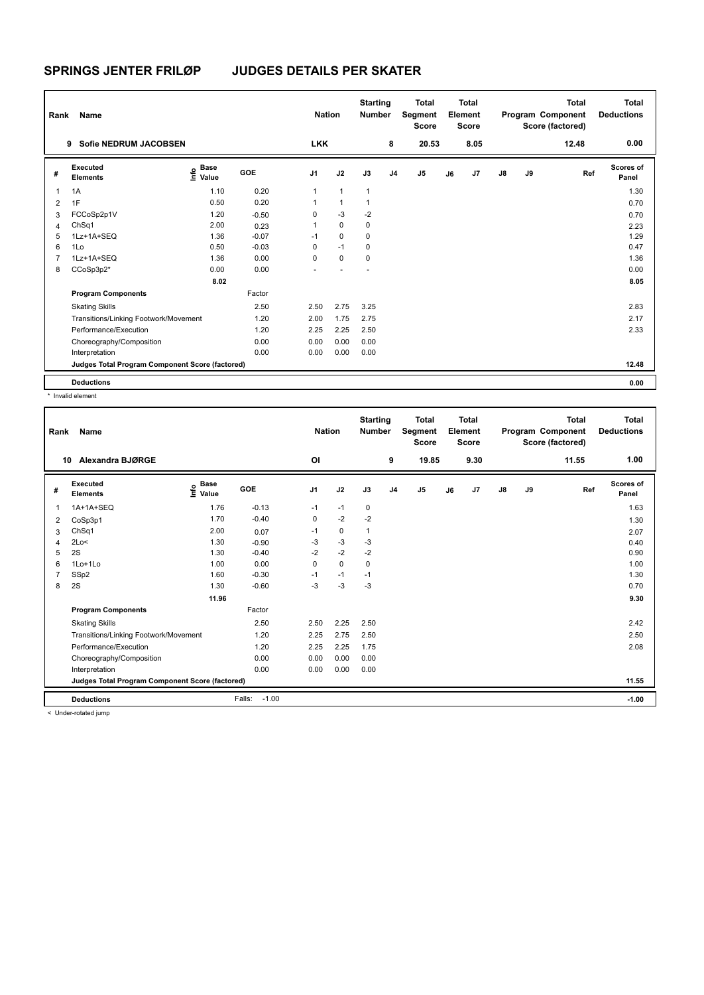| Rank           | Name                                            |                              |            | <b>Nation</b>  |              | <b>Starting</b><br><b>Number</b> |                | <b>Total</b><br>Segment<br><b>Score</b> |    | <b>Total</b><br>Element<br><b>Score</b> |               |    | <b>Total</b><br>Program Component<br>Score (factored) | <b>Total</b><br><b>Deductions</b> |
|----------------|-------------------------------------------------|------------------------------|------------|----------------|--------------|----------------------------------|----------------|-----------------------------------------|----|-----------------------------------------|---------------|----|-------------------------------------------------------|-----------------------------------|
|                | <b>Sofie NEDRUM JACOBSEN</b><br>9               |                              |            | <b>LKK</b>     |              |                                  | 8              | 20.53                                   |    | 8.05                                    |               |    | 12.48                                                 | 0.00                              |
| #              | Executed<br><b>Elements</b>                     | <b>Base</b><br>lnfo<br>Value | <b>GOE</b> | J <sub>1</sub> | J2           | J3                               | J <sub>4</sub> | J <sub>5</sub>                          | J6 | J7                                      | $\mathsf{J}8$ | J9 | Ref                                                   | Scores of<br>Panel                |
| $\mathbf{1}$   | 1A                                              | 1.10                         | 0.20       | 1              | $\mathbf{1}$ | $\overline{1}$                   |                |                                         |    |                                         |               |    |                                                       | 1.30                              |
| 2              | 1F                                              | 0.50                         | 0.20       | 1              | $\mathbf{1}$ | $\overline{1}$                   |                |                                         |    |                                         |               |    |                                                       | 0.70                              |
| 3              | FCCoSp2p1V                                      | 1.20                         | $-0.50$    | 0              | $-3$         | $-2$                             |                |                                         |    |                                         |               |    |                                                       | 0.70                              |
| $\overline{4}$ | ChSq1                                           | 2.00                         | 0.23       | 1              | $\Omega$     | 0                                |                |                                         |    |                                         |               |    |                                                       | 2.23                              |
| 5              | 1Lz+1A+SEQ                                      | 1.36                         | $-0.07$    | $-1$           | $\Omega$     | 0                                |                |                                         |    |                                         |               |    |                                                       | 1.29                              |
| 6              | 1Lo                                             | 0.50                         | $-0.03$    | 0              | $-1$         | $\mathbf 0$                      |                |                                         |    |                                         |               |    |                                                       | 0.47                              |
| 7              | 1Lz+1A+SEQ                                      | 1.36                         | 0.00       | 0              | $\mathbf 0$  | 0                                |                |                                         |    |                                         |               |    |                                                       | 1.36                              |
| 8              | CCoSp3p2*                                       | 0.00                         | 0.00       |                |              |                                  |                |                                         |    |                                         |               |    |                                                       | 0.00                              |
|                |                                                 | 8.02                         |            |                |              |                                  |                |                                         |    |                                         |               |    |                                                       | 8.05                              |
|                | <b>Program Components</b>                       |                              | Factor     |                |              |                                  |                |                                         |    |                                         |               |    |                                                       |                                   |
|                | <b>Skating Skills</b>                           |                              | 2.50       | 2.50           | 2.75         | 3.25                             |                |                                         |    |                                         |               |    |                                                       | 2.83                              |
|                | Transitions/Linking Footwork/Movement           |                              | 1.20       | 2.00           | 1.75         | 2.75                             |                |                                         |    |                                         |               |    |                                                       | 2.17                              |
|                | Performance/Execution                           |                              | 1.20       | 2.25           | 2.25         | 2.50                             |                |                                         |    |                                         |               |    |                                                       | 2.33                              |
|                | Choreography/Composition                        |                              | 0.00       | 0.00           | 0.00         | 0.00                             |                |                                         |    |                                         |               |    |                                                       |                                   |
|                | Interpretation                                  |                              | 0.00       | 0.00           | 0.00         | 0.00                             |                |                                         |    |                                         |               |    |                                                       |                                   |
|                | Judges Total Program Component Score (factored) |                              |            |                |              |                                  |                |                                         |    |                                         |               |    |                                                       | 12.48                             |
|                | <b>Deductions</b>                               |                              |            |                |              |                                  |                |                                         |    |                                         |               |    |                                                       | 0.00                              |

\* Invalid element

| Rank | Name                                            |                                  |                   | <b>Nation</b>  |             | <b>Starting</b><br><b>Number</b> |                | <b>Total</b><br>Segment<br><b>Score</b> |    | <b>Total</b><br>Element<br><b>Score</b> |               |    | Total<br>Program Component<br>Score (factored) | Total<br><b>Deductions</b> |
|------|-------------------------------------------------|----------------------------------|-------------------|----------------|-------------|----------------------------------|----------------|-----------------------------------------|----|-----------------------------------------|---------------|----|------------------------------------------------|----------------------------|
| 10   | Alexandra BJØRGE                                |                                  |                   | O <sub>l</sub> |             |                                  | 9              | 19.85                                   |    | 9.30                                    |               |    | 11.55                                          | 1.00                       |
| #    | Executed<br><b>Elements</b>                     | <b>Base</b><br>e Base<br>⊆ Value | <b>GOE</b>        | J <sub>1</sub> | J2          | J3                               | J <sub>4</sub> | J5                                      | J6 | J <sub>7</sub>                          | $\mathsf{J}8$ | J9 | Ref                                            | Scores of<br>Panel         |
| 1    | 1A+1A+SEQ                                       | 1.76                             | $-0.13$           | $-1$           | $-1$        | 0                                |                |                                         |    |                                         |               |    |                                                | 1.63                       |
| 2    | CoSp3p1                                         | 1.70                             | $-0.40$           | 0              | $-2$        | $-2$                             |                |                                         |    |                                         |               |    |                                                | 1.30                       |
| 3    | ChSq1                                           | 2.00                             | 0.07              | $-1$           | $\mathbf 0$ | 1                                |                |                                         |    |                                         |               |    |                                                | 2.07                       |
| 4    | 2Lo<                                            | 1.30                             | $-0.90$           | $-3$           | $-3$        | $-3$                             |                |                                         |    |                                         |               |    |                                                | 0.40                       |
| 5    | 2S                                              | 1.30                             | $-0.40$           | $-2$           | $-2$        | $-2$                             |                |                                         |    |                                         |               |    |                                                | 0.90                       |
| 6    | 1Lo+1Lo                                         | 1.00                             | 0.00              | $\Omega$       | $\Omega$    | $\Omega$                         |                |                                         |    |                                         |               |    |                                                | 1.00                       |
| 7    | SSp2                                            | 1.60                             | $-0.30$           | $-1$           | $-1$        | $-1$                             |                |                                         |    |                                         |               |    |                                                | 1.30                       |
| 8    | 2S                                              | 1.30                             | $-0.60$           | $-3$           | -3          | $-3$                             |                |                                         |    |                                         |               |    |                                                | 0.70                       |
|      |                                                 | 11.96                            |                   |                |             |                                  |                |                                         |    |                                         |               |    |                                                | 9.30                       |
|      | <b>Program Components</b>                       |                                  | Factor            |                |             |                                  |                |                                         |    |                                         |               |    |                                                |                            |
|      | <b>Skating Skills</b>                           |                                  | 2.50              | 2.50           | 2.25        | 2.50                             |                |                                         |    |                                         |               |    |                                                | 2.42                       |
|      | Transitions/Linking Footwork/Movement           |                                  | 1.20              | 2.25           | 2.75        | 2.50                             |                |                                         |    |                                         |               |    |                                                | 2.50                       |
|      | Performance/Execution                           |                                  | 1.20              | 2.25           | 2.25        | 1.75                             |                |                                         |    |                                         |               |    |                                                | 2.08                       |
|      | Choreography/Composition                        |                                  | 0.00              | 0.00           | 0.00        | 0.00                             |                |                                         |    |                                         |               |    |                                                |                            |
|      | Interpretation                                  |                                  | 0.00              | 0.00           | 0.00        | 0.00                             |                |                                         |    |                                         |               |    |                                                |                            |
|      | Judges Total Program Component Score (factored) |                                  |                   |                |             |                                  |                |                                         |    |                                         |               |    |                                                | 11.55                      |
|      | <b>Deductions</b>                               |                                  | $-1.00$<br>Falls: |                |             |                                  |                |                                         |    |                                         |               |    |                                                | $-1.00$                    |
|      | $\geq$ linder retated jump.                     |                                  |                   |                |             |                                  |                |                                         |    |                                         |               |    |                                                |                            |

< Under-rotated jump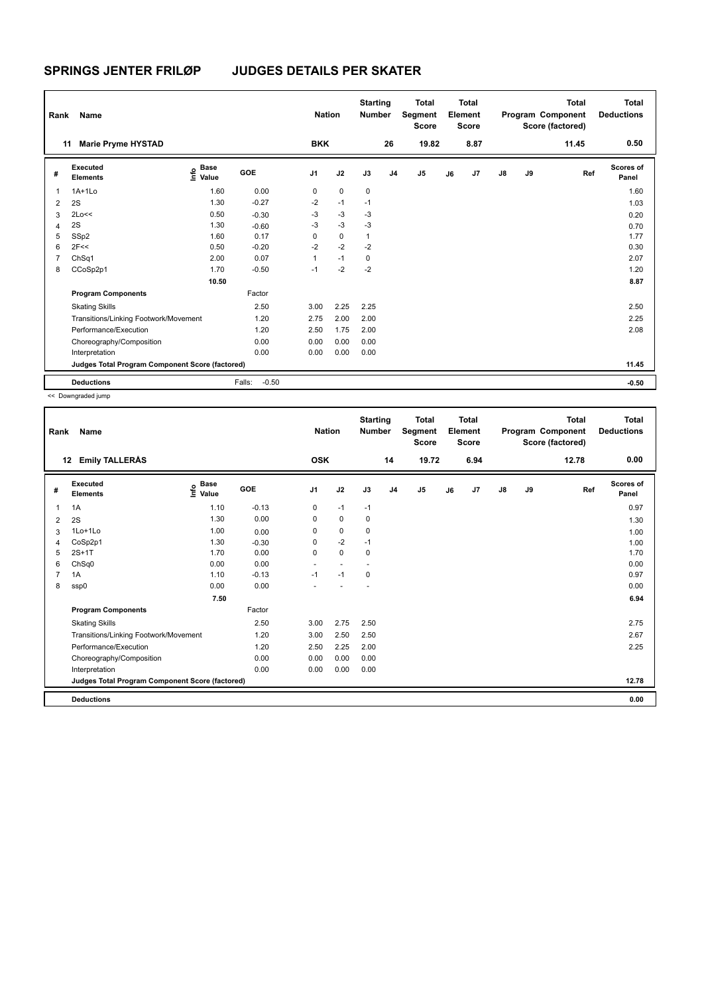| Rank           | Name                                            |                                  |                   | <b>Nation</b>  |             | <b>Starting</b><br><b>Number</b> |                | <b>Total</b><br>Segment<br><b>Score</b> |    | <b>Total</b><br>Element<br><b>Score</b> |               |    | <b>Total</b><br>Program Component<br>Score (factored) | <b>Total</b><br><b>Deductions</b> |
|----------------|-------------------------------------------------|----------------------------------|-------------------|----------------|-------------|----------------------------------|----------------|-----------------------------------------|----|-----------------------------------------|---------------|----|-------------------------------------------------------|-----------------------------------|
|                | <b>Marie Pryme HYSTAD</b><br>11                 |                                  |                   | <b>BKK</b>     |             |                                  | 26             | 19.82                                   |    | 8.87                                    |               |    | 11.45                                                 | 0.50                              |
| #              | Executed<br><b>Elements</b>                     | <b>Base</b><br>o Base<br>E Value | GOE               | J <sub>1</sub> | J2          | J3                               | J <sub>4</sub> | J <sub>5</sub>                          | J6 | J7                                      | $\mathsf{J}8$ | J9 | Ref                                                   | <b>Scores of</b><br>Panel         |
| 1              | $1A+1Lo$                                        | 1.60                             | 0.00              | 0              | $\mathbf 0$ | 0                                |                |                                         |    |                                         |               |    |                                                       | 1.60                              |
| $\overline{2}$ | 2S                                              | 1.30                             | $-0.27$           | $-2$           | $-1$        | $-1$                             |                |                                         |    |                                         |               |    |                                                       | 1.03                              |
| 3              | 2Lo<<                                           | 0.50                             | $-0.30$           | -3             | $-3$        | -3                               |                |                                         |    |                                         |               |    |                                                       | 0.20                              |
| 4              | 2S                                              | 1.30                             | $-0.60$           | $-3$           | $-3$        | $-3$                             |                |                                         |    |                                         |               |    |                                                       | 0.70                              |
| 5              | SSp2                                            | 1.60                             | 0.17              | 0              | $\mathbf 0$ | $\overline{1}$                   |                |                                         |    |                                         |               |    |                                                       | 1.77                              |
| 6              | 2F<<                                            | 0.50                             | $-0.20$           | $-2$           | $-2$        | $-2$                             |                |                                         |    |                                         |               |    |                                                       | 0.30                              |
| $\overline{7}$ | ChSq1                                           | 2.00                             | 0.07              | 1              | $-1$        | 0                                |                |                                         |    |                                         |               |    |                                                       | 2.07                              |
| 8              | CCoSp2p1                                        | 1.70                             | $-0.50$           | $-1$           | $-2$        | $-2$                             |                |                                         |    |                                         |               |    |                                                       | 1.20                              |
|                |                                                 | 10.50                            |                   |                |             |                                  |                |                                         |    |                                         |               |    |                                                       | 8.87                              |
|                | <b>Program Components</b>                       |                                  | Factor            |                |             |                                  |                |                                         |    |                                         |               |    |                                                       |                                   |
|                | <b>Skating Skills</b>                           |                                  | 2.50              | 3.00           | 2.25        | 2.25                             |                |                                         |    |                                         |               |    |                                                       | 2.50                              |
|                | Transitions/Linking Footwork/Movement           |                                  | 1.20              | 2.75           | 2.00        | 2.00                             |                |                                         |    |                                         |               |    |                                                       | 2.25                              |
|                | Performance/Execution                           |                                  | 1.20              | 2.50           | 1.75        | 2.00                             |                |                                         |    |                                         |               |    |                                                       | 2.08                              |
|                | Choreography/Composition                        |                                  | 0.00              | 0.00           | 0.00        | 0.00                             |                |                                         |    |                                         |               |    |                                                       |                                   |
|                | Interpretation                                  |                                  | 0.00              | 0.00           | 0.00        | 0.00                             |                |                                         |    |                                         |               |    |                                                       |                                   |
|                | Judges Total Program Component Score (factored) |                                  |                   |                |             |                                  |                |                                         |    |                                         |               |    |                                                       | 11.45                             |
|                | <b>Deductions</b>                               |                                  | $-0.50$<br>Falls: |                |             |                                  |                |                                         |    |                                         |               |    |                                                       | $-0.50$                           |

<< Downgraded jump

| <b>Emily TALLERÅS</b><br>19.72<br><b>OSK</b><br>6.94<br>12.78<br>12<br>14<br><b>Base</b><br>Executed<br>e Base<br>⊆ Value<br>GOE<br>J <sub>1</sub><br>J2<br>J7<br>J9<br>J3<br>J <sub>4</sub><br>J5<br>$\mathsf{J}8$<br>Ref<br>J6<br>#<br><b>Elements</b><br>1.10<br>$-0.13$<br>1A<br>$-1$<br>0<br>$-1$<br>1<br>0.00<br>1.30<br>$\Omega$<br>0<br>0<br>2S<br>2<br>$\mathbf 0$<br>1Lo+1Lo<br>1.00<br>0<br>0<br>0.00<br>3<br>$-2$<br>CoSp2p1<br>1.30<br>0<br>$-1$<br>$-0.30$<br>4<br>$2S+1T$<br>0.00<br>$\mathbf 0$<br>1.70<br>$\mathbf 0$<br>$\mathbf 0$<br>5<br>0.00<br>ChSq0<br>0.00<br>6<br>$\sim$<br>$\overline{\phantom{a}}$<br>$-0.13$<br>$-1$<br>1.10<br>$-1$<br>0<br>7<br>1A<br>0.00<br>0.00<br>8<br>ssp0<br>7.50 | Total<br><b>Deductions</b> |
|------------------------------------------------------------------------------------------------------------------------------------------------------------------------------------------------------------------------------------------------------------------------------------------------------------------------------------------------------------------------------------------------------------------------------------------------------------------------------------------------------------------------------------------------------------------------------------------------------------------------------------------------------------------------------------------------------------------------|----------------------------|
|                                                                                                                                                                                                                                                                                                                                                                                                                                                                                                                                                                                                                                                                                                                        | 0.00                       |
|                                                                                                                                                                                                                                                                                                                                                                                                                                                                                                                                                                                                                                                                                                                        | Scores of<br>Panel         |
|                                                                                                                                                                                                                                                                                                                                                                                                                                                                                                                                                                                                                                                                                                                        | 0.97                       |
|                                                                                                                                                                                                                                                                                                                                                                                                                                                                                                                                                                                                                                                                                                                        | 1.30                       |
|                                                                                                                                                                                                                                                                                                                                                                                                                                                                                                                                                                                                                                                                                                                        | 1.00                       |
|                                                                                                                                                                                                                                                                                                                                                                                                                                                                                                                                                                                                                                                                                                                        | 1.00                       |
|                                                                                                                                                                                                                                                                                                                                                                                                                                                                                                                                                                                                                                                                                                                        | 1.70                       |
|                                                                                                                                                                                                                                                                                                                                                                                                                                                                                                                                                                                                                                                                                                                        | 0.00                       |
|                                                                                                                                                                                                                                                                                                                                                                                                                                                                                                                                                                                                                                                                                                                        | 0.97                       |
|                                                                                                                                                                                                                                                                                                                                                                                                                                                                                                                                                                                                                                                                                                                        | 0.00                       |
|                                                                                                                                                                                                                                                                                                                                                                                                                                                                                                                                                                                                                                                                                                                        | 6.94                       |
| <b>Program Components</b><br>Factor                                                                                                                                                                                                                                                                                                                                                                                                                                                                                                                                                                                                                                                                                    |                            |
| 2.50<br>2.75<br><b>Skating Skills</b><br>3.00<br>2.50                                                                                                                                                                                                                                                                                                                                                                                                                                                                                                                                                                                                                                                                  | 2.75                       |
| Transitions/Linking Footwork/Movement<br>1.20<br>3.00<br>2.50<br>2.50                                                                                                                                                                                                                                                                                                                                                                                                                                                                                                                                                                                                                                                  | 2.67                       |
| Performance/Execution<br>1.20<br>2.25<br>2.00<br>2.50                                                                                                                                                                                                                                                                                                                                                                                                                                                                                                                                                                                                                                                                  | 2.25                       |
| Choreography/Composition<br>0.00<br>0.00<br>0.00<br>0.00                                                                                                                                                                                                                                                                                                                                                                                                                                                                                                                                                                                                                                                               |                            |
| 0.00<br>Interpretation<br>0.00<br>0.00<br>0.00                                                                                                                                                                                                                                                                                                                                                                                                                                                                                                                                                                                                                                                                         |                            |
| Judges Total Program Component Score (factored)                                                                                                                                                                                                                                                                                                                                                                                                                                                                                                                                                                                                                                                                        | 12.78                      |
| <b>Deductions</b>                                                                                                                                                                                                                                                                                                                                                                                                                                                                                                                                                                                                                                                                                                      | 0.00                       |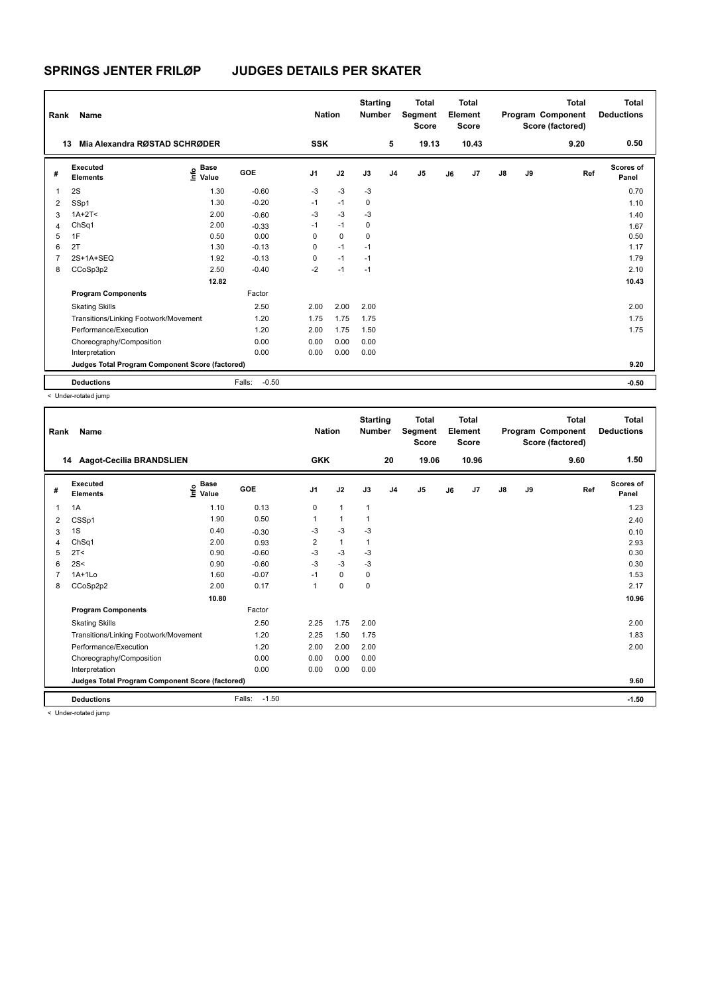| Rank           | Name                                            |                                  |                   | <b>Nation</b>  |             | <b>Starting</b><br><b>Number</b> |                | <b>Total</b><br>Segment<br><b>Score</b> |    | <b>Total</b><br>Element<br><b>Score</b> |               |    | <b>Total</b><br>Program Component<br>Score (factored) | Total<br><b>Deductions</b> |
|----------------|-------------------------------------------------|----------------------------------|-------------------|----------------|-------------|----------------------------------|----------------|-----------------------------------------|----|-----------------------------------------|---------------|----|-------------------------------------------------------|----------------------------|
| 13             | Mia Alexandra RØSTAD SCHRØDER                   |                                  |                   | <b>SSK</b>     |             |                                  | 5              | 19.13                                   |    | 10.43                                   |               |    | 9.20                                                  | 0.50                       |
| #              | <b>Executed</b><br><b>Elements</b>              | <b>Base</b><br>o Base<br>E Value | GOE               | J <sub>1</sub> | J2          | J3                               | J <sub>4</sub> | J <sub>5</sub>                          | J6 | J7                                      | $\mathsf{J}8$ | J9 | Ref                                                   | <b>Scores of</b><br>Panel  |
| $\overline{1}$ | 2S                                              | 1.30                             | $-0.60$           | $-3$           | $-3$        | $-3$                             |                |                                         |    |                                         |               |    |                                                       | 0.70                       |
| 2              | SSp1                                            | 1.30                             | $-0.20$           | $-1$           | $-1$        | 0                                |                |                                         |    |                                         |               |    |                                                       | 1.10                       |
| 3              | $1A+2T2$                                        | 2.00                             | $-0.60$           | $-3$           | $-3$        | -3                               |                |                                         |    |                                         |               |    |                                                       | 1.40                       |
| 4              | ChSq1                                           | 2.00                             | $-0.33$           | $-1$           | $-1$        | 0                                |                |                                         |    |                                         |               |    |                                                       | 1.67                       |
| 5              | 1F                                              | 0.50                             | 0.00              | 0              | $\mathbf 0$ | $\mathbf 0$                      |                |                                         |    |                                         |               |    |                                                       | 0.50                       |
| 6              | 2T                                              | 1.30                             | $-0.13$           | 0              | $-1$        | $-1$                             |                |                                         |    |                                         |               |    |                                                       | 1.17                       |
| $\overline{7}$ | 2S+1A+SEQ                                       | 1.92                             | $-0.13$           | $\Omega$       | $-1$        | $-1$                             |                |                                         |    |                                         |               |    |                                                       | 1.79                       |
| 8              | CCoSp3p2                                        | 2.50                             | $-0.40$           | $-2$           | $-1$        | $-1$                             |                |                                         |    |                                         |               |    |                                                       | 2.10                       |
|                |                                                 | 12.82                            |                   |                |             |                                  |                |                                         |    |                                         |               |    |                                                       | 10.43                      |
|                | <b>Program Components</b>                       |                                  | Factor            |                |             |                                  |                |                                         |    |                                         |               |    |                                                       |                            |
|                | <b>Skating Skills</b>                           |                                  | 2.50              | 2.00           | 2.00        | 2.00                             |                |                                         |    |                                         |               |    |                                                       | 2.00                       |
|                | Transitions/Linking Footwork/Movement           |                                  | 1.20              | 1.75           | 1.75        | 1.75                             |                |                                         |    |                                         |               |    |                                                       | 1.75                       |
|                | Performance/Execution                           |                                  | 1.20              | 2.00           | 1.75        | 1.50                             |                |                                         |    |                                         |               |    |                                                       | 1.75                       |
|                | Choreography/Composition                        |                                  | 0.00              | 0.00           | 0.00        | 0.00                             |                |                                         |    |                                         |               |    |                                                       |                            |
|                | Interpretation                                  |                                  | 0.00              | 0.00           | 0.00        | 0.00                             |                |                                         |    |                                         |               |    |                                                       |                            |
|                | Judges Total Program Component Score (factored) |                                  |                   |                |             |                                  |                |                                         |    |                                         |               |    |                                                       | 9.20                       |
|                | <b>Deductions</b>                               |                                  | $-0.50$<br>Falls: |                |             |                                  |                |                                         |    |                                         |               |    |                                                       | $-0.50$                    |

< Under-rotated jump

| Rank | Name                                            |                                  |                   | <b>Nation</b>  |              | <b>Starting</b><br><b>Number</b> |                | <b>Total</b><br>Segment<br><b>Score</b> |    | Total<br>Element<br><b>Score</b> |               |    | <b>Total</b><br>Program Component<br>Score (factored) | <b>Total</b><br><b>Deductions</b> |
|------|-------------------------------------------------|----------------------------------|-------------------|----------------|--------------|----------------------------------|----------------|-----------------------------------------|----|----------------------------------|---------------|----|-------------------------------------------------------|-----------------------------------|
|      | 14 Aagot-Cecilia BRANDSLIEN                     |                                  |                   | <b>GKK</b>     |              |                                  | 20             | 19.06                                   |    | 10.96                            |               |    | 9.60                                                  | 1.50                              |
| #    | Executed<br><b>Elements</b>                     | <b>Base</b><br>e Base<br>⊆ Value | <b>GOE</b>        | J <sub>1</sub> | J2           | J3                               | J <sub>4</sub> | J5                                      | J6 | J7                               | $\mathsf{J}8$ | J9 | Ref                                                   | Scores of<br>Panel                |
| 1    | 1A                                              | 1.10                             | 0.13              | 0              | $\mathbf{1}$ | 1                                |                |                                         |    |                                  |               |    |                                                       | 1.23                              |
| 2    | CSSp1                                           | 1.90                             | 0.50              |                | $\mathbf{1}$ |                                  |                |                                         |    |                                  |               |    |                                                       | 2.40                              |
| 3    | 1S                                              | 0.40                             | $-0.30$           | $-3$           | $-3$         | $-3$                             |                |                                         |    |                                  |               |    |                                                       | 0.10                              |
| 4    | ChSq1                                           | 2.00                             | 0.93              | 2              | $\mathbf{1}$ |                                  |                |                                         |    |                                  |               |    |                                                       | 2.93                              |
| 5    | 2T <                                            | 0.90                             | $-0.60$           | $-3$           | $-3$         | -3                               |                |                                         |    |                                  |               |    |                                                       | 0.30                              |
| 6    | 2S<                                             | 0.90                             | $-0.60$           | $-3$           | $-3$         | $-3$                             |                |                                         |    |                                  |               |    |                                                       | 0.30                              |
|      | $1A+1Lo$                                        | 1.60                             | $-0.07$           | $-1$           | $\mathbf 0$  | $\mathbf 0$                      |                |                                         |    |                                  |               |    |                                                       | 1.53                              |
| 8    | CCoSp2p2                                        | 2.00                             | 0.17              | 1              | $\pmb{0}$    | 0                                |                |                                         |    |                                  |               |    |                                                       | 2.17                              |
|      |                                                 | 10.80                            |                   |                |              |                                  |                |                                         |    |                                  |               |    |                                                       | 10.96                             |
|      | <b>Program Components</b>                       |                                  | Factor            |                |              |                                  |                |                                         |    |                                  |               |    |                                                       |                                   |
|      | <b>Skating Skills</b>                           |                                  | 2.50              | 2.25           | 1.75         | 2.00                             |                |                                         |    |                                  |               |    |                                                       | 2.00                              |
|      | Transitions/Linking Footwork/Movement           |                                  | 1.20              | 2.25           | 1.50         | 1.75                             |                |                                         |    |                                  |               |    |                                                       | 1.83                              |
|      | Performance/Execution                           |                                  | 1.20              | 2.00           | 2.00         | 2.00                             |                |                                         |    |                                  |               |    |                                                       | 2.00                              |
|      | Choreography/Composition                        |                                  | 0.00              | 0.00           | 0.00         | 0.00                             |                |                                         |    |                                  |               |    |                                                       |                                   |
|      | Interpretation                                  |                                  | 0.00              | 0.00           | 0.00         | 0.00                             |                |                                         |    |                                  |               |    |                                                       |                                   |
|      | Judges Total Program Component Score (factored) |                                  |                   |                |              |                                  |                |                                         |    |                                  |               |    |                                                       | 9.60                              |
|      | <b>Deductions</b>                               |                                  | $-1.50$<br>Falls: |                |              |                                  |                |                                         |    |                                  |               |    |                                                       | $-1.50$                           |
|      | $\geq$ linder retated jump.                     |                                  |                   |                |              |                                  |                |                                         |    |                                  |               |    |                                                       |                                   |

< Under-rotated jump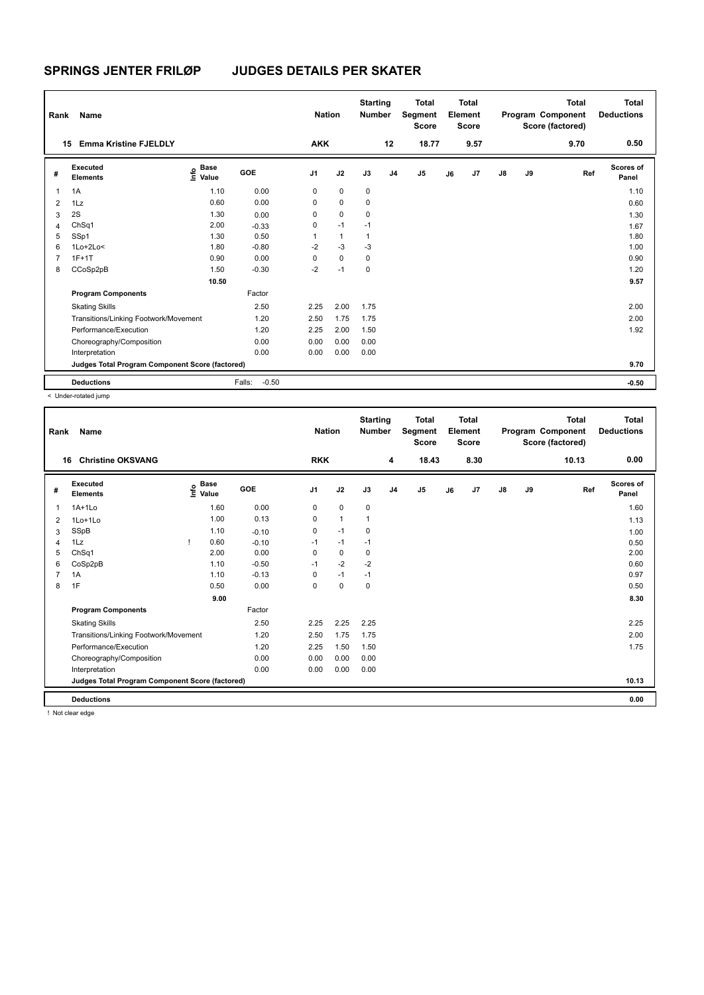| Rank           | Name                                            |                       |                   | <b>Nation</b>  |              | <b>Starting</b><br><b>Number</b> |                | <b>Total</b><br>Segment<br><b>Score</b> |    | <b>Total</b><br>Element<br><b>Score</b> |               |    | <b>Total</b><br>Program Component<br>Score (factored) | <b>Total</b><br><b>Deductions</b> |
|----------------|-------------------------------------------------|-----------------------|-------------------|----------------|--------------|----------------------------------|----------------|-----------------------------------------|----|-----------------------------------------|---------------|----|-------------------------------------------------------|-----------------------------------|
|                | <b>Emma Kristine FJELDLY</b><br>15              |                       |                   | <b>AKK</b>     |              |                                  | 12             | 18.77                                   |    | 9.57                                    |               |    | 9.70                                                  | 0.50                              |
| #              | Executed<br><b>Elements</b>                     | Base<br>lnfo<br>Value | <b>GOE</b>        | J <sub>1</sub> | J2           | J3                               | J <sub>4</sub> | J <sub>5</sub>                          | J6 | J7                                      | $\mathsf{J}8$ | J9 | Ref                                                   | Scores of<br>Panel                |
| 1              | 1A                                              | 1.10                  | 0.00              | 0              | 0            | $\pmb{0}$                        |                |                                         |    |                                         |               |    |                                                       | 1.10                              |
| $\overline{2}$ | 1Lz                                             | 0.60                  | 0.00              | 0              | $\mathbf 0$  | $\mathbf 0$                      |                |                                         |    |                                         |               |    |                                                       | 0.60                              |
| 3              | 2S                                              | 1.30                  | 0.00              | 0              | 0            | 0                                |                |                                         |    |                                         |               |    |                                                       | 1.30                              |
| 4              | ChSq1                                           | 2.00                  | $-0.33$           | 0              | $-1$         | $-1$                             |                |                                         |    |                                         |               |    |                                                       | 1.67                              |
| 5              | SSp1                                            | 1.30                  | 0.50              | 1              | $\mathbf{1}$ | $\mathbf{1}$                     |                |                                         |    |                                         |               |    |                                                       | 1.80                              |
| 6              | $1Lo+2Lo<$                                      | 1.80                  | $-0.80$           | $-2$           | $-3$         | $-3$                             |                |                                         |    |                                         |               |    |                                                       | 1.00                              |
|                | $1F+1T$                                         | 0.90                  | 0.00              | 0              | $\mathbf 0$  | 0                                |                |                                         |    |                                         |               |    |                                                       | 0.90                              |
| 8              | CCoSp2pB                                        | 1.50                  | $-0.30$           | $-2$           | $-1$         | 0                                |                |                                         |    |                                         |               |    |                                                       | 1.20                              |
|                |                                                 | 10.50                 |                   |                |              |                                  |                |                                         |    |                                         |               |    |                                                       | 9.57                              |
|                | <b>Program Components</b>                       |                       | Factor            |                |              |                                  |                |                                         |    |                                         |               |    |                                                       |                                   |
|                | <b>Skating Skills</b>                           |                       | 2.50              | 2.25           | 2.00         | 1.75                             |                |                                         |    |                                         |               |    |                                                       | 2.00                              |
|                | Transitions/Linking Footwork/Movement           |                       | 1.20              | 2.50           | 1.75         | 1.75                             |                |                                         |    |                                         |               |    |                                                       | 2.00                              |
|                | Performance/Execution                           |                       | 1.20              | 2.25           | 2.00         | 1.50                             |                |                                         |    |                                         |               |    |                                                       | 1.92                              |
|                | Choreography/Composition                        |                       | 0.00              | 0.00           | 0.00         | 0.00                             |                |                                         |    |                                         |               |    |                                                       |                                   |
|                | Interpretation                                  |                       | 0.00              | 0.00           | 0.00         | 0.00                             |                |                                         |    |                                         |               |    |                                                       |                                   |
|                | Judges Total Program Component Score (factored) |                       |                   |                |              |                                  |                |                                         |    |                                         |               |    |                                                       | 9.70                              |
|                | <b>Deductions</b>                               |                       | $-0.50$<br>Falls: |                |              |                                  |                |                                         |    |                                         |               |    |                                                       | $-0.50$                           |

< Under-rotated jump

| Rank                   | Name                                            |      |                      |            | <b>Nation</b>  |              | <b>Starting</b><br><b>Number</b> |                | <b>Total</b><br>Segment<br><b>Score</b> |    | Total<br>Element<br><b>Score</b> |               |    | Total<br>Program Component<br>Score (factored) | Total<br><b>Deductions</b> |
|------------------------|-------------------------------------------------|------|----------------------|------------|----------------|--------------|----------------------------------|----------------|-----------------------------------------|----|----------------------------------|---------------|----|------------------------------------------------|----------------------------|
|                        | <b>Christine OKSVANG</b><br>16                  |      |                      |            | <b>RKK</b>     |              |                                  | 4              | 18.43                                   |    | 8.30                             |               |    | 10.13                                          | 0.00                       |
| #                      | Executed<br><b>Elements</b>                     | ١nfo | <b>Base</b><br>Value | <b>GOE</b> | J <sub>1</sub> | J2           | J3                               | J <sub>4</sub> | J5                                      | J6 | J7                               | $\mathsf{J}8$ | J9 | Ref                                            | <b>Scores of</b><br>Panel  |
|                        | $1A+1Lo$                                        |      | 1.60                 | 0.00       | $\mathbf 0$    | $\mathbf 0$  | $\pmb{0}$                        |                |                                         |    |                                  |               |    |                                                | 1.60                       |
| 2                      | 1Lo+1Lo                                         |      | 1.00                 | 0.13       | 0              | $\mathbf{1}$ | $\mathbf{1}$                     |                |                                         |    |                                  |               |    |                                                | 1.13                       |
| 3                      | SSpB                                            |      | 1.10                 | $-0.10$    | $\mathbf 0$    | $-1$         | 0                                |                |                                         |    |                                  |               |    |                                                | 1.00                       |
| $\boldsymbol{\Lambda}$ | 1Lz                                             | Τ.   | 0.60                 | $-0.10$    | $-1$           | $-1$         | $-1$                             |                |                                         |    |                                  |               |    |                                                | 0.50                       |
| 5                      | ChSq1                                           |      | 2.00                 | 0.00       | 0              | $\mathbf 0$  | 0                                |                |                                         |    |                                  |               |    |                                                | 2.00                       |
| 6                      | CoSp2pB                                         |      | 1.10                 | $-0.50$    | $-1$           | $-2$         | $-2$                             |                |                                         |    |                                  |               |    |                                                | 0.60                       |
|                        | 1A                                              |      | 1.10                 | $-0.13$    | 0              | $-1$         | $-1$                             |                |                                         |    |                                  |               |    |                                                | 0.97                       |
| 8                      | 1F                                              |      | 0.50                 | 0.00       | $\mathbf 0$    | $\mathbf 0$  | $\mathbf 0$                      |                |                                         |    |                                  |               |    |                                                | 0.50                       |
|                        |                                                 |      | 9.00                 |            |                |              |                                  |                |                                         |    |                                  |               |    |                                                | 8.30                       |
|                        | <b>Program Components</b>                       |      |                      | Factor     |                |              |                                  |                |                                         |    |                                  |               |    |                                                |                            |
|                        | <b>Skating Skills</b>                           |      |                      | 2.50       | 2.25           | 2.25         | 2.25                             |                |                                         |    |                                  |               |    |                                                | 2.25                       |
|                        | Transitions/Linking Footwork/Movement           |      |                      | 1.20       | 2.50           | 1.75         | 1.75                             |                |                                         |    |                                  |               |    |                                                | 2.00                       |
|                        | Performance/Execution                           |      |                      | 1.20       | 2.25           | 1.50         | 1.50                             |                |                                         |    |                                  |               |    |                                                | 1.75                       |
|                        | Choreography/Composition                        |      |                      | 0.00       | 0.00           | 0.00         | 0.00                             |                |                                         |    |                                  |               |    |                                                |                            |
|                        | Interpretation                                  |      |                      | 0.00       | 0.00           | 0.00         | 0.00                             |                |                                         |    |                                  |               |    |                                                |                            |
|                        | Judges Total Program Component Score (factored) |      |                      |            |                |              |                                  |                |                                         |    |                                  |               |    |                                                | 10.13                      |
|                        | <b>Deductions</b>                               |      |                      |            |                |              |                                  |                |                                         |    |                                  |               |    |                                                | 0.00                       |

! Not clear edge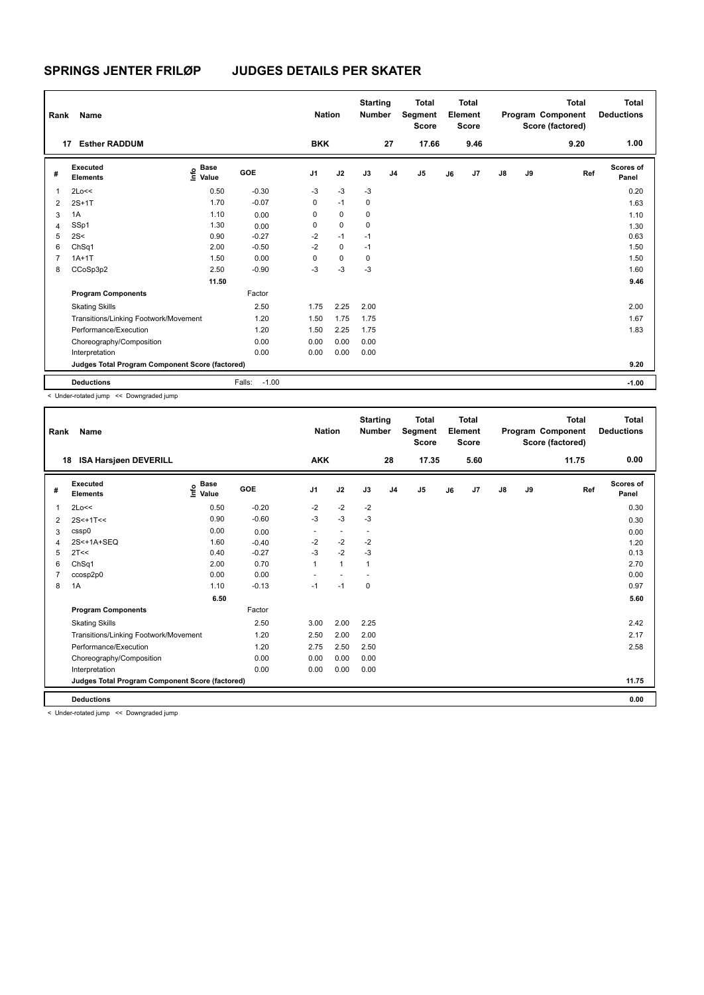| Rank           | Name                                            |                                  |                   | <b>Nation</b>  |             | <b>Starting</b><br><b>Number</b> |                | <b>Total</b><br>Segment<br><b>Score</b> |    | <b>Total</b><br>Element<br><b>Score</b> |               |    | <b>Total</b><br>Program Component<br>Score (factored) | <b>Total</b><br><b>Deductions</b> |
|----------------|-------------------------------------------------|----------------------------------|-------------------|----------------|-------------|----------------------------------|----------------|-----------------------------------------|----|-----------------------------------------|---------------|----|-------------------------------------------------------|-----------------------------------|
| 17             | <b>Esther RADDUM</b>                            |                                  |                   | <b>BKK</b>     |             |                                  | 27             | 17.66                                   |    | 9.46                                    |               |    | 9.20                                                  | 1.00                              |
| #              | Executed<br><b>Elements</b>                     | <b>Base</b><br>o Base<br>E Value | GOE               | J <sub>1</sub> | J2          | J3                               | J <sub>4</sub> | J <sub>5</sub>                          | J6 | J7                                      | $\mathsf{J}8$ | J9 | Ref                                                   | Scores of<br>Panel                |
| $\mathbf{1}$   | 2Lo<<                                           | 0.50                             | $-0.30$           | $-3$           | $-3$        | $-3$                             |                |                                         |    |                                         |               |    |                                                       | 0.20                              |
| $\overline{2}$ | $2S+1T$                                         | 1.70                             | $-0.07$           | $\mathbf 0$    | $-1$        | 0                                |                |                                         |    |                                         |               |    |                                                       | 1.63                              |
| 3              | 1A                                              | 1.10                             | 0.00              | 0              | 0           | 0                                |                |                                         |    |                                         |               |    |                                                       | 1.10                              |
| $\overline{4}$ | SSp1                                            | 1.30                             | 0.00              | 0              | $\Omega$    | 0                                |                |                                         |    |                                         |               |    |                                                       | 1.30                              |
| 5              | 2S<                                             | 0.90                             | $-0.27$           | $-2$           | $-1$        | $-1$                             |                |                                         |    |                                         |               |    |                                                       | 0.63                              |
| 6              | Ch <sub>Sq1</sub>                               | 2.00                             | $-0.50$           | $-2$           | $\mathbf 0$ | $-1$                             |                |                                         |    |                                         |               |    |                                                       | 1.50                              |
|                | $1A+1T$                                         | 1.50                             | 0.00              | 0              | $\Omega$    | 0                                |                |                                         |    |                                         |               |    |                                                       | 1.50                              |
| 8              | CCoSp3p2                                        | 2.50                             | $-0.90$           | $-3$           | $-3$        | $-3$                             |                |                                         |    |                                         |               |    |                                                       | 1.60                              |
|                |                                                 | 11.50                            |                   |                |             |                                  |                |                                         |    |                                         |               |    |                                                       | 9.46                              |
|                | <b>Program Components</b>                       |                                  | Factor            |                |             |                                  |                |                                         |    |                                         |               |    |                                                       |                                   |
|                | <b>Skating Skills</b>                           |                                  | 2.50              | 1.75           | 2.25        | 2.00                             |                |                                         |    |                                         |               |    |                                                       | 2.00                              |
|                | Transitions/Linking Footwork/Movement           |                                  | 1.20              | 1.50           | 1.75        | 1.75                             |                |                                         |    |                                         |               |    |                                                       | 1.67                              |
|                | Performance/Execution                           |                                  | 1.20              | 1.50           | 2.25        | 1.75                             |                |                                         |    |                                         |               |    |                                                       | 1.83                              |
|                | Choreography/Composition                        |                                  | 0.00              | 0.00           | 0.00        | 0.00                             |                |                                         |    |                                         |               |    |                                                       |                                   |
|                | Interpretation                                  |                                  | 0.00              | 0.00           | 0.00        | 0.00                             |                |                                         |    |                                         |               |    |                                                       |                                   |
|                | Judges Total Program Component Score (factored) |                                  |                   |                |             |                                  |                |                                         |    |                                         |               |    |                                                       | 9.20                              |
|                | <b>Deductions</b>                               |                                  | $-1.00$<br>Falls: |                |             |                                  |                |                                         |    |                                         |               |    |                                                       | $-1.00$                           |

< Under-rotated jump << Downgraded jump

| Rank | Name                                            |                                             |         | <b>Nation</b>            |                          | <b>Starting</b><br><b>Number</b> |                | <b>Total</b><br>Segment<br><b>Score</b> |    | <b>Total</b><br>Element<br><b>Score</b> |               |    | <b>Total</b><br>Program Component<br>Score (factored) | <b>Total</b><br><b>Deductions</b> |
|------|-------------------------------------------------|---------------------------------------------|---------|--------------------------|--------------------------|----------------------------------|----------------|-----------------------------------------|----|-----------------------------------------|---------------|----|-------------------------------------------------------|-----------------------------------|
| 18   | <b>ISA Harsjøen DEVERILL</b>                    |                                             |         | <b>AKK</b>               |                          |                                  | 28             | 17.35                                   |    | 5.60                                    |               |    | 11.75                                                 | 0.00                              |
| #    | Executed<br><b>Elements</b>                     | <b>Base</b><br>e <sup>Base</sup><br>⊆ Value | GOE     | J <sub>1</sub>           | J2                       | J3                               | J <sub>4</sub> | J <sub>5</sub>                          | J6 | J7                                      | $\mathsf{J}8$ | J9 | Ref                                                   | Scores of<br>Panel                |
| 1    | 2Lo<<                                           | 0.50                                        | $-0.20$ | $-2$                     | $-2$                     | $-2$                             |                |                                         |    |                                         |               |    |                                                       | 0.30                              |
| 2    | $2S<+1T<$                                       | 0.90                                        | $-0.60$ | $-3$                     | $-3$                     | $-3$                             |                |                                         |    |                                         |               |    |                                                       | 0.30                              |
| 3    | cssp0                                           | 0.00                                        | 0.00    | $\overline{\phantom{a}}$ | $\overline{\phantom{a}}$ | $\overline{\phantom{a}}$         |                |                                         |    |                                         |               |    |                                                       | 0.00                              |
| 4    | 2S<+1A+SEQ                                      | 1.60                                        | $-0.40$ | $-2$                     | $-2$                     | $-2$                             |                |                                         |    |                                         |               |    |                                                       | 1.20                              |
| 5    | 2T<<                                            | 0.40                                        | $-0.27$ | $-3$                     | $-2$                     | $-3$                             |                |                                         |    |                                         |               |    |                                                       | 0.13                              |
| 6    | ChSq1                                           | 2.00                                        | 0.70    | 1                        | $\mathbf{1}$             | 1                                |                |                                         |    |                                         |               |    |                                                       | 2.70                              |
|      | ccosp2p0                                        | 0.00                                        | 0.00    |                          |                          |                                  |                |                                         |    |                                         |               |    |                                                       | 0.00                              |
| 8    | 1A                                              | 1.10                                        | $-0.13$ | $-1$                     | $-1$                     | $\mathbf 0$                      |                |                                         |    |                                         |               |    |                                                       | 0.97                              |
|      |                                                 | 6.50                                        |         |                          |                          |                                  |                |                                         |    |                                         |               |    |                                                       | 5.60                              |
|      | <b>Program Components</b>                       |                                             | Factor  |                          |                          |                                  |                |                                         |    |                                         |               |    |                                                       |                                   |
|      | <b>Skating Skills</b>                           |                                             | 2.50    | 3.00                     | 2.00                     | 2.25                             |                |                                         |    |                                         |               |    |                                                       | 2.42                              |
|      | Transitions/Linking Footwork/Movement           |                                             | 1.20    | 2.50                     | 2.00                     | 2.00                             |                |                                         |    |                                         |               |    |                                                       | 2.17                              |
|      | Performance/Execution                           |                                             | 1.20    | 2.75                     | 2.50                     | 2.50                             |                |                                         |    |                                         |               |    |                                                       | 2.58                              |
|      | Choreography/Composition                        |                                             | 0.00    | 0.00                     | 0.00                     | 0.00                             |                |                                         |    |                                         |               |    |                                                       |                                   |
|      | Interpretation                                  |                                             | 0.00    | 0.00                     | 0.00                     | 0.00                             |                |                                         |    |                                         |               |    |                                                       |                                   |
|      | Judges Total Program Component Score (factored) |                                             |         |                          |                          |                                  |                |                                         |    |                                         |               |    |                                                       | 11.75                             |
|      | <b>Deductions</b>                               |                                             |         |                          |                          |                                  |                |                                         |    |                                         |               |    |                                                       | 0.00                              |

< Under-rotated jump << Downgraded jump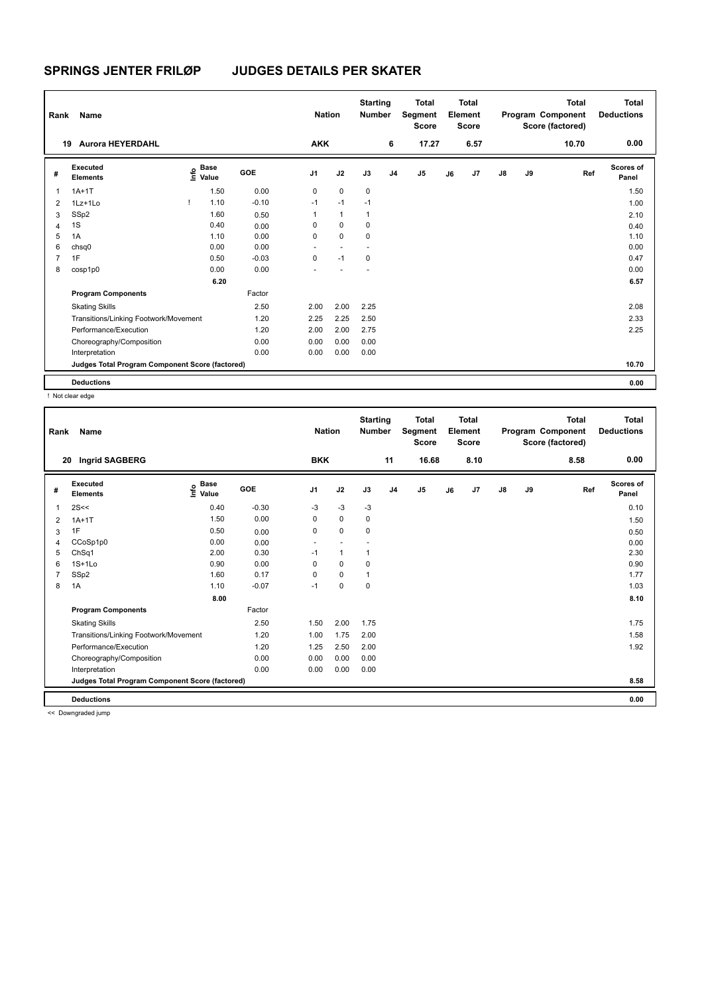| Rank           | Name                                            |      |                      |            | <b>Nation</b>            |                | <b>Starting</b><br><b>Number</b> |                | <b>Total</b><br>Segment<br><b>Score</b> |    | <b>Total</b><br>Element<br><b>Score</b> |               |    | <b>Total</b><br>Program Component<br>Score (factored) | <b>Total</b><br><b>Deductions</b> |
|----------------|-------------------------------------------------|------|----------------------|------------|--------------------------|----------------|----------------------------------|----------------|-----------------------------------------|----|-----------------------------------------|---------------|----|-------------------------------------------------------|-----------------------------------|
| 19             | <b>Aurora HEYERDAHL</b>                         |      |                      |            | <b>AKK</b>               |                |                                  | 6              | 17.27                                   |    | 6.57                                    |               |    | 10.70                                                 | 0.00                              |
| #              | Executed<br><b>Elements</b>                     | lnfo | <b>Base</b><br>Value | <b>GOE</b> | J <sub>1</sub>           | J2             | J3                               | J <sub>4</sub> | J5                                      | J6 | J7                                      | $\mathsf{J}8$ | J9 | Ref                                                   | Scores of<br>Panel                |
| 1              | $1A+1T$                                         |      | 1.50                 | 0.00       | 0                        | $\mathbf 0$    | $\pmb{0}$                        |                |                                         |    |                                         |               |    |                                                       | 1.50                              |
| $\overline{2}$ | $1Lz+1L0$                                       |      | 1.10                 | $-0.10$    | $-1$                     | $-1$           | $-1$                             |                |                                         |    |                                         |               |    |                                                       | 1.00                              |
| 3              | SSp2                                            |      | 1.60                 | 0.50       | 1                        | $\mathbf{1}$   | $\mathbf{1}$                     |                |                                         |    |                                         |               |    |                                                       | 2.10                              |
| 4              | 1S                                              |      | 0.40                 | 0.00       | 0                        | $\mathbf 0$    | 0                                |                |                                         |    |                                         |               |    |                                                       | 0.40                              |
| 5              | 1A                                              |      | 1.10                 | 0.00       | 0                        | $\mathbf 0$    | 0                                |                |                                         |    |                                         |               |    |                                                       | 1.10                              |
| 6              | chsq0                                           |      | 0.00                 | 0.00       | $\overline{\phantom{a}}$ | $\overline{a}$ | $\overline{a}$                   |                |                                         |    |                                         |               |    |                                                       | 0.00                              |
| $\overline{7}$ | 1F                                              |      | 0.50                 | $-0.03$    | 0                        | $-1$           | $\mathbf 0$                      |                |                                         |    |                                         |               |    |                                                       | 0.47                              |
| 8              | cosp1p0                                         |      | 0.00                 | 0.00       |                          |                |                                  |                |                                         |    |                                         |               |    |                                                       | 0.00                              |
|                |                                                 |      | 6.20                 |            |                          |                |                                  |                |                                         |    |                                         |               |    |                                                       | 6.57                              |
|                | <b>Program Components</b>                       |      |                      | Factor     |                          |                |                                  |                |                                         |    |                                         |               |    |                                                       |                                   |
|                | <b>Skating Skills</b>                           |      |                      | 2.50       | 2.00                     | 2.00           | 2.25                             |                |                                         |    |                                         |               |    |                                                       | 2.08                              |
|                | Transitions/Linking Footwork/Movement           |      |                      | 1.20       | 2.25                     | 2.25           | 2.50                             |                |                                         |    |                                         |               |    |                                                       | 2.33                              |
|                | Performance/Execution                           |      |                      | 1.20       | 2.00                     | 2.00           | 2.75                             |                |                                         |    |                                         |               |    |                                                       | 2.25                              |
|                | Choreography/Composition                        |      |                      | 0.00       | 0.00                     | 0.00           | 0.00                             |                |                                         |    |                                         |               |    |                                                       |                                   |
|                | Interpretation                                  |      |                      | 0.00       | 0.00                     | 0.00           | 0.00                             |                |                                         |    |                                         |               |    |                                                       |                                   |
|                | Judges Total Program Component Score (factored) |      |                      |            |                          |                |                                  |                |                                         |    |                                         |               |    |                                                       | 10.70                             |
|                | <b>Deductions</b>                               |      |                      |            |                          |                |                                  |                |                                         |    |                                         |               |    |                                                       | 0.00                              |

! Not clear edge

| Rank | Name                                            |                              |            | <b>Nation</b>            |              | <b>Starting</b><br><b>Number</b> |                | <b>Total</b><br>Segment<br><b>Score</b> |    | <b>Total</b><br>Element<br><b>Score</b> |               |    | <b>Total</b><br>Program Component<br>Score (factored) | Total<br><b>Deductions</b> |
|------|-------------------------------------------------|------------------------------|------------|--------------------------|--------------|----------------------------------|----------------|-----------------------------------------|----|-----------------------------------------|---------------|----|-------------------------------------------------------|----------------------------|
| 20   | Ingrid SAGBERG                                  |                              |            | <b>BKK</b>               |              |                                  | 11             | 16.68                                   |    | 8.10                                    |               |    | 8.58                                                  | 0.00                       |
| #    | Executed<br><b>Elements</b>                     | <b>Base</b><br>١nfo<br>Value | <b>GOE</b> | J <sub>1</sub>           | J2           | J3                               | J <sub>4</sub> | J5                                      | J6 | J <sub>7</sub>                          | $\mathsf{J}8$ | J9 | Ref                                                   | <b>Scores of</b><br>Panel  |
| 1    | 2S<<                                            | 0.40                         | $-0.30$    | $-3$                     | $-3$         | $-3$                             |                |                                         |    |                                         |               |    |                                                       | 0.10                       |
| 2    | $1A+1T$                                         | 1.50                         | 0.00       | 0                        | $\mathbf 0$  | 0                                |                |                                         |    |                                         |               |    |                                                       | 1.50                       |
| 3    | 1F                                              | 0.50                         | 0.00       | $\Omega$                 | $\mathbf 0$  | 0                                |                |                                         |    |                                         |               |    |                                                       | 0.50                       |
| 4    | CCoSp1p0                                        | 0.00                         | 0.00       | $\overline{\phantom{a}}$ |              |                                  |                |                                         |    |                                         |               |    |                                                       | 0.00                       |
| 5    | ChSq1                                           | 2.00                         | 0.30       | $-1$                     | $\mathbf{1}$ | 1                                |                |                                         |    |                                         |               |    |                                                       | 2.30                       |
| 6    | $1S+1L0$                                        | 0.90                         | 0.00       | 0                        | $\mathbf 0$  | 0                                |                |                                         |    |                                         |               |    |                                                       | 0.90                       |
|      | SSp2                                            | 1.60                         | 0.17       | $\Omega$                 | 0            |                                  |                |                                         |    |                                         |               |    |                                                       | 1.77                       |
| 8    | 1A                                              | 1.10                         | $-0.07$    | $-1$                     | $\mathbf 0$  | 0                                |                |                                         |    |                                         |               |    |                                                       | 1.03                       |
|      |                                                 | 8.00                         |            |                          |              |                                  |                |                                         |    |                                         |               |    |                                                       | 8.10                       |
|      | <b>Program Components</b>                       |                              | Factor     |                          |              |                                  |                |                                         |    |                                         |               |    |                                                       |                            |
|      | <b>Skating Skills</b>                           |                              | 2.50       | 1.50                     | 2.00         | 1.75                             |                |                                         |    |                                         |               |    |                                                       | 1.75                       |
|      | Transitions/Linking Footwork/Movement           |                              | 1.20       | 1.00                     | 1.75         | 2.00                             |                |                                         |    |                                         |               |    |                                                       | 1.58                       |
|      | Performance/Execution                           |                              | 1.20       | 1.25                     | 2.50         | 2.00                             |                |                                         |    |                                         |               |    |                                                       | 1.92                       |
|      | Choreography/Composition                        |                              | 0.00       | 0.00                     | 0.00         | 0.00                             |                |                                         |    |                                         |               |    |                                                       |                            |
|      | Interpretation                                  |                              | 0.00       | 0.00                     | 0.00         | 0.00                             |                |                                         |    |                                         |               |    |                                                       |                            |
|      | Judges Total Program Component Score (factored) |                              |            |                          |              |                                  |                |                                         |    |                                         |               |    |                                                       | 8.58                       |
|      | <b>Deductions</b>                               |                              |            |                          |              |                                  |                |                                         |    |                                         |               |    |                                                       | 0.00                       |

<< Downgraded jump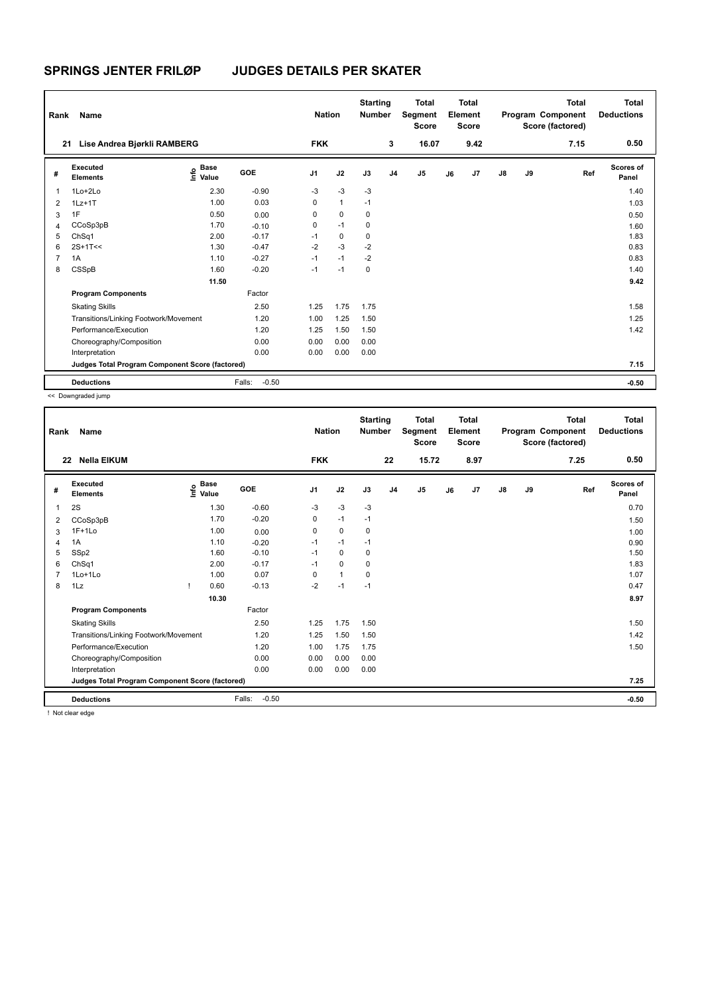| Rank           | Name                                            |                       |                   | <b>Nation</b>  |              | <b>Starting</b><br><b>Number</b> |                | <b>Total</b><br>Segment<br><b>Score</b> |    | Total<br>Element<br><b>Score</b> |               |    | <b>Total</b><br>Program Component<br>Score (factored) | Total<br><b>Deductions</b> |
|----------------|-------------------------------------------------|-----------------------|-------------------|----------------|--------------|----------------------------------|----------------|-----------------------------------------|----|----------------------------------|---------------|----|-------------------------------------------------------|----------------------------|
| 21             | Lise Andrea Bjørkli RAMBERG                     |                       |                   | <b>FKK</b>     |              |                                  | 3              | 16.07                                   |    | 9.42                             |               |    | 7.15                                                  | 0.50                       |
| #              | Executed<br><b>Elements</b>                     | Base<br>١π۴ο<br>Value | GOE               | J <sub>1</sub> | J2           | J3                               | J <sub>4</sub> | J5                                      | J6 | J7                               | $\mathsf{J}8$ | J9 | Ref                                                   | Scores of<br>Panel         |
| $\overline{1}$ | 1Lo+2Lo                                         | 2.30                  | $-0.90$           | $-3$           | $-3$         | $-3$                             |                |                                         |    |                                  |               |    |                                                       | 1.40                       |
| 2              | $1Lz+1T$                                        | 1.00                  | 0.03              | 0              | $\mathbf{1}$ | $-1$                             |                |                                         |    |                                  |               |    |                                                       | 1.03                       |
| 3              | 1F                                              | 0.50                  | 0.00              | 0              | $\mathbf 0$  | 0                                |                |                                         |    |                                  |               |    |                                                       | 0.50                       |
| $\overline{4}$ | CCoSp3pB                                        | 1.70                  | $-0.10$           | 0              | $-1$         | 0                                |                |                                         |    |                                  |               |    |                                                       | 1.60                       |
| 5              | ChSq1                                           | 2.00                  | $-0.17$           | $-1$           | $\mathbf 0$  | $\mathbf 0$                      |                |                                         |    |                                  |               |    |                                                       | 1.83                       |
| 6              | $2S+1T<<$                                       | 1.30                  | $-0.47$           | $-2$           | $-3$         | $-2$                             |                |                                         |    |                                  |               |    |                                                       | 0.83                       |
| $\overline{7}$ | 1A                                              | 1.10                  | $-0.27$           | $-1$           | $-1$         | $-2$                             |                |                                         |    |                                  |               |    |                                                       | 0.83                       |
| 8              | CSSpB                                           | 1.60                  | $-0.20$           | $-1$           | $-1$         | $\mathbf 0$                      |                |                                         |    |                                  |               |    |                                                       | 1.40                       |
|                |                                                 | 11.50                 |                   |                |              |                                  |                |                                         |    |                                  |               |    |                                                       | 9.42                       |
|                | <b>Program Components</b>                       |                       | Factor            |                |              |                                  |                |                                         |    |                                  |               |    |                                                       |                            |
|                | <b>Skating Skills</b>                           |                       | 2.50              | 1.25           | 1.75         | 1.75                             |                |                                         |    |                                  |               |    |                                                       | 1.58                       |
|                | Transitions/Linking Footwork/Movement           |                       | 1.20              | 1.00           | 1.25         | 1.50                             |                |                                         |    |                                  |               |    |                                                       | 1.25                       |
|                | Performance/Execution                           |                       | 1.20              | 1.25           | 1.50         | 1.50                             |                |                                         |    |                                  |               |    |                                                       | 1.42                       |
|                | Choreography/Composition                        |                       | 0.00              | 0.00           | 0.00         | 0.00                             |                |                                         |    |                                  |               |    |                                                       |                            |
|                | Interpretation                                  |                       | 0.00              | 0.00           | 0.00         | 0.00                             |                |                                         |    |                                  |               |    |                                                       |                            |
|                | Judges Total Program Component Score (factored) |                       |                   |                |              |                                  |                |                                         |    |                                  |               |    |                                                       | 7.15                       |
|                | <b>Deductions</b>                               |                       | $-0.50$<br>Falls: |                |              |                                  |                |                                         |    |                                  |               |    |                                                       | $-0.50$                    |

<< Downgraded jump

| Rank | Name                                            |      |               |                   | <b>Nation</b>  |              | <b>Starting</b><br><b>Number</b> |                | <b>Total</b><br>Segment<br><b>Score</b> |    | <b>Total</b><br>Element<br><b>Score</b> |               |    | <b>Total</b><br>Program Component<br>Score (factored) | Total<br><b>Deductions</b> |
|------|-------------------------------------------------|------|---------------|-------------------|----------------|--------------|----------------------------------|----------------|-----------------------------------------|----|-----------------------------------------|---------------|----|-------------------------------------------------------|----------------------------|
|      | <b>Nella EIKUM</b><br>22                        |      |               |                   | <b>FKK</b>     |              |                                  | 22             | 15.72                                   |    | 8.97                                    |               |    | 7.25                                                  | 0.50                       |
| #    | Executed<br><b>Elements</b>                     | lnfo | Base<br>Value | <b>GOE</b>        | J <sub>1</sub> | J2           | J3                               | J <sub>4</sub> | J5                                      | J6 | J7                                      | $\mathsf{J}8$ | J9 | Ref                                                   | <b>Scores of</b><br>Panel  |
| 1    | 2S                                              |      | 1.30          | $-0.60$           | $-3$           | $-3$         | $-3$                             |                |                                         |    |                                         |               |    |                                                       | 0.70                       |
| 2    | CCoSp3pB                                        |      | 1.70          | $-0.20$           | 0              | $-1$         | $-1$                             |                |                                         |    |                                         |               |    |                                                       | 1.50                       |
| 3    | $1F+1Lo$                                        |      | 1.00          | 0.00              | 0              | $\mathbf 0$  | 0                                |                |                                         |    |                                         |               |    |                                                       | 1.00                       |
|      | 1A                                              |      | 1.10          | $-0.20$           | $-1$           | $-1$         | $-1$                             |                |                                         |    |                                         |               |    |                                                       | 0.90                       |
| 5    | SSp2                                            |      | 1.60          | $-0.10$           | $-1$           | 0            | 0                                |                |                                         |    |                                         |               |    |                                                       | 1.50                       |
| 6    | ChSq1                                           |      | 2.00          | $-0.17$           | $-1$           | $\Omega$     | $\mathbf 0$                      |                |                                         |    |                                         |               |    |                                                       | 1.83                       |
|      | 1Lo+1Lo                                         |      | 1.00          | 0.07              | 0              | $\mathbf{1}$ | 0                                |                |                                         |    |                                         |               |    |                                                       | 1.07                       |
| 8    | 1Lz                                             | T    | 0.60          | $-0.13$           | $-2$           | $-1$         | $-1$                             |                |                                         |    |                                         |               |    |                                                       | 0.47                       |
|      |                                                 |      | 10.30         |                   |                |              |                                  |                |                                         |    |                                         |               |    |                                                       | 8.97                       |
|      | <b>Program Components</b>                       |      |               | Factor            |                |              |                                  |                |                                         |    |                                         |               |    |                                                       |                            |
|      | <b>Skating Skills</b>                           |      |               | 2.50              | 1.25           | 1.75         | 1.50                             |                |                                         |    |                                         |               |    |                                                       | 1.50                       |
|      | Transitions/Linking Footwork/Movement           |      |               | 1.20              | 1.25           | 1.50         | 1.50                             |                |                                         |    |                                         |               |    |                                                       | 1.42                       |
|      | Performance/Execution                           |      |               | 1.20              | 1.00           | 1.75         | 1.75                             |                |                                         |    |                                         |               |    |                                                       | 1.50                       |
|      | Choreography/Composition                        |      |               | 0.00              | 0.00           | 0.00         | 0.00                             |                |                                         |    |                                         |               |    |                                                       |                            |
|      | Interpretation                                  |      |               | 0.00              | 0.00           | 0.00         | 0.00                             |                |                                         |    |                                         |               |    |                                                       |                            |
|      | Judges Total Program Component Score (factored) |      |               |                   |                |              |                                  |                |                                         |    |                                         |               |    |                                                       | 7.25                       |
|      | <b>Deductions</b>                               |      |               | $-0.50$<br>Falls: |                |              |                                  |                |                                         |    |                                         |               |    |                                                       | $-0.50$                    |
|      | L. Met eleganization                            |      |               |                   |                |              |                                  |                |                                         |    |                                         |               |    |                                                       |                            |

! Not clear edge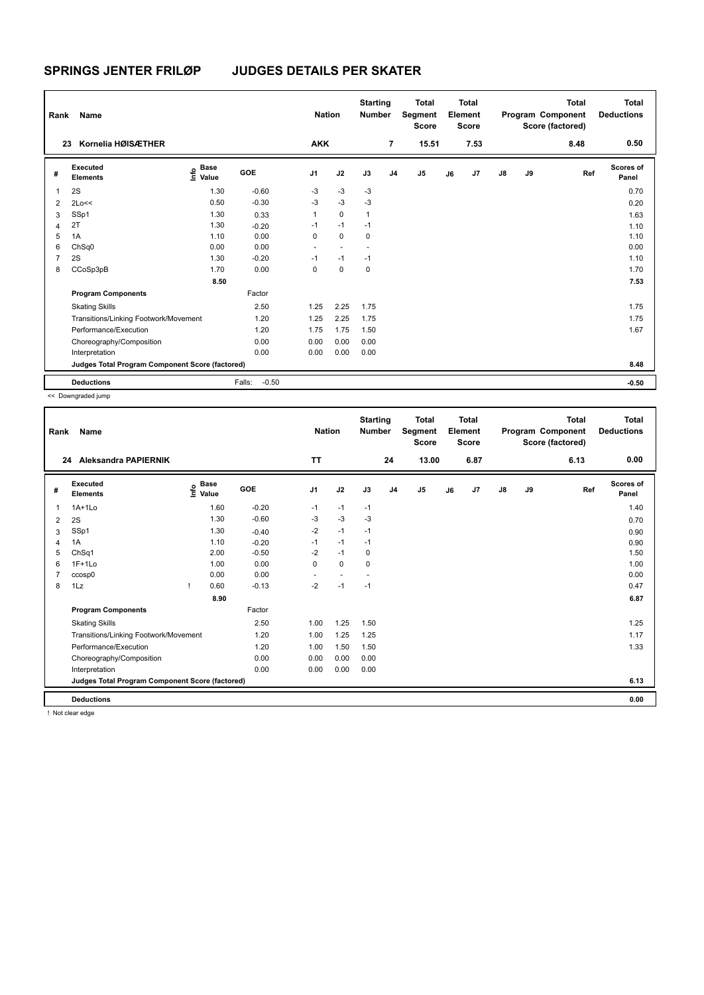| Rank           | Name                                            |                                  |                   | <b>Nation</b>            |                          | <b>Starting</b><br><b>Number</b> |                | <b>Total</b><br>Segment<br><b>Score</b> |    | <b>Total</b><br>Element<br><b>Score</b> |               |    | <b>Total</b><br>Program Component<br>Score (factored) | <b>Total</b><br><b>Deductions</b> |
|----------------|-------------------------------------------------|----------------------------------|-------------------|--------------------------|--------------------------|----------------------------------|----------------|-----------------------------------------|----|-----------------------------------------|---------------|----|-------------------------------------------------------|-----------------------------------|
| 23             | Kornelia HØISÆTHER                              |                                  |                   | <b>AKK</b>               |                          |                                  | $\overline{7}$ | 15.51                                   |    | 7.53                                    |               |    | 8.48                                                  | 0.50                              |
| #              | Executed<br><b>Elements</b>                     | <b>Base</b><br>e Base<br>E Value | GOE               | J <sub>1</sub>           | J2                       | J3                               | J <sub>4</sub> | J <sub>5</sub>                          | J6 | J7                                      | $\mathsf{J}8$ | J9 | Ref                                                   | Scores of<br>Panel                |
| 1              | 2S                                              | 1.30                             | $-0.60$           | $-3$                     | $-3$                     | $-3$                             |                |                                         |    |                                         |               |    |                                                       | 0.70                              |
| $\overline{2}$ | 2Lo<<                                           | 0.50                             | $-0.30$           | $-3$                     | $-3$                     | -3                               |                |                                         |    |                                         |               |    |                                                       | 0.20                              |
| 3              | SSp1                                            | 1.30                             | 0.33              | $\mathbf{1}$             | $\mathbf 0$              | $\mathbf{1}$                     |                |                                         |    |                                         |               |    |                                                       | 1.63                              |
| $\overline{4}$ | 2T                                              | 1.30                             | $-0.20$           | $-1$                     | $-1$                     | $-1$                             |                |                                         |    |                                         |               |    |                                                       | 1.10                              |
| 5              | 1A                                              | 1.10                             | 0.00              | 0                        | $\mathbf 0$              | $\mathbf 0$                      |                |                                         |    |                                         |               |    |                                                       | 1.10                              |
| 6              | ChSq0                                           | 0.00                             | 0.00              | $\overline{\phantom{a}}$ | $\overline{\phantom{a}}$ | $\overline{\phantom{a}}$         |                |                                         |    |                                         |               |    |                                                       | 0.00                              |
| $\overline{7}$ | 2S                                              | 1.30                             | $-0.20$           | $-1$                     | $-1$                     | $-1$                             |                |                                         |    |                                         |               |    |                                                       | 1.10                              |
| 8              | CCoSp3pB                                        | 1.70                             | 0.00              | $\Omega$                 | $\Omega$                 | $\mathbf 0$                      |                |                                         |    |                                         |               |    |                                                       | 1.70                              |
|                |                                                 | 8.50                             |                   |                          |                          |                                  |                |                                         |    |                                         |               |    |                                                       | 7.53                              |
|                | <b>Program Components</b>                       |                                  | Factor            |                          |                          |                                  |                |                                         |    |                                         |               |    |                                                       |                                   |
|                | <b>Skating Skills</b>                           |                                  | 2.50              | 1.25                     | 2.25                     | 1.75                             |                |                                         |    |                                         |               |    |                                                       | 1.75                              |
|                | Transitions/Linking Footwork/Movement           |                                  | 1.20              | 1.25                     | 2.25                     | 1.75                             |                |                                         |    |                                         |               |    |                                                       | 1.75                              |
|                | Performance/Execution                           |                                  | 1.20              | 1.75                     | 1.75                     | 1.50                             |                |                                         |    |                                         |               |    |                                                       | 1.67                              |
|                | Choreography/Composition                        |                                  | 0.00              | 0.00                     | 0.00                     | 0.00                             |                |                                         |    |                                         |               |    |                                                       |                                   |
|                | Interpretation                                  |                                  | 0.00              | 0.00                     | 0.00                     | 0.00                             |                |                                         |    |                                         |               |    |                                                       |                                   |
|                | Judges Total Program Component Score (factored) |                                  |                   |                          |                          |                                  |                |                                         |    |                                         |               |    |                                                       | 8.48                              |
|                | <b>Deductions</b>                               |                                  | $-0.50$<br>Falls: |                          |                          |                                  |                |                                         |    |                                         |               |    |                                                       | $-0.50$                           |

<< Downgraded jump

| Rank | Name                                            |                              |             |            | <b>Nation</b>  |        | <b>Starting</b><br><b>Number</b> |                | <b>Total</b><br>Segment<br><b>Score</b> |    | <b>Total</b><br>Element<br><b>Score</b> |    |    | <b>Total</b><br>Program Component<br>Score (factored) | Total<br><b>Deductions</b> |
|------|-------------------------------------------------|------------------------------|-------------|------------|----------------|--------|----------------------------------|----------------|-----------------------------------------|----|-----------------------------------------|----|----|-------------------------------------------------------|----------------------------|
| 24   | Aleksandra PAPIERNIK                            |                              |             |            | <b>TT</b>      |        |                                  | 24             | 13.00                                   |    | 6.87                                    |    |    | 6.13                                                  | 0.00                       |
| #    | Executed<br><b>Elements</b>                     | e <sup>Base</sup><br>⊆ Value | <b>Base</b> | <b>GOE</b> | J <sub>1</sub> | J2     | J3                               | J <sub>4</sub> | J <sub>5</sub>                          | J6 | J7                                      | J8 | J9 | Ref                                                   | <b>Scores of</b><br>Panel  |
| 1    | $1A+1L0$                                        |                              | 1.60        | $-0.20$    | $-1$           | $-1$   | $-1$                             |                |                                         |    |                                         |    |    |                                                       | 1.40                       |
| 2    | 2S                                              |                              | 1.30        | $-0.60$    | -3             | $-3$   | $-3$                             |                |                                         |    |                                         |    |    |                                                       | 0.70                       |
| 3    | SSp1                                            |                              | 1.30        | $-0.40$    | $-2$           | $-1$   | $-1$                             |                |                                         |    |                                         |    |    |                                                       | 0.90                       |
| 4    | 1A                                              |                              | 1.10        | $-0.20$    | $-1$           | $-1$   | $-1$                             |                |                                         |    |                                         |    |    |                                                       | 0.90                       |
| 5    | ChSq1                                           |                              | 2.00        | $-0.50$    | $-2$           | $-1$   | $\mathbf 0$                      |                |                                         |    |                                         |    |    |                                                       | 1.50                       |
| 6    | $1F+1Lo$                                        |                              | 1.00        | 0.00       | 0              | 0      | $\mathbf 0$                      |                |                                         |    |                                         |    |    |                                                       | 1.00                       |
|      | ccosp0                                          |                              | 0.00        | 0.00       |                | $\sim$ |                                  |                |                                         |    |                                         |    |    |                                                       | 0.00                       |
| 8    | 1Lz                                             |                              | 0.60        | $-0.13$    | $-2$           | $-1$   | $-1$                             |                |                                         |    |                                         |    |    |                                                       | 0.47                       |
|      |                                                 |                              | 8.90        |            |                |        |                                  |                |                                         |    |                                         |    |    |                                                       | 6.87                       |
|      | <b>Program Components</b>                       |                              |             | Factor     |                |        |                                  |                |                                         |    |                                         |    |    |                                                       |                            |
|      | <b>Skating Skills</b>                           |                              |             | 2.50       | 1.00           | 1.25   | 1.50                             |                |                                         |    |                                         |    |    |                                                       | 1.25                       |
|      | Transitions/Linking Footwork/Movement           |                              |             | 1.20       | 1.00           | 1.25   | 1.25                             |                |                                         |    |                                         |    |    |                                                       | 1.17                       |
|      | Performance/Execution                           |                              |             | 1.20       | 1.00           | 1.50   | 1.50                             |                |                                         |    |                                         |    |    |                                                       | 1.33                       |
|      | Choreography/Composition                        |                              |             | 0.00       | 0.00           | 0.00   | 0.00                             |                |                                         |    |                                         |    |    |                                                       |                            |
|      | Interpretation                                  |                              |             | 0.00       | 0.00           | 0.00   | 0.00                             |                |                                         |    |                                         |    |    |                                                       |                            |
|      | Judges Total Program Component Score (factored) |                              |             |            |                |        |                                  |                |                                         |    |                                         |    |    |                                                       | 6.13                       |
|      | <b>Deductions</b>                               |                              |             |            |                |        |                                  |                |                                         |    |                                         |    |    |                                                       | 0.00                       |

! Not clear edge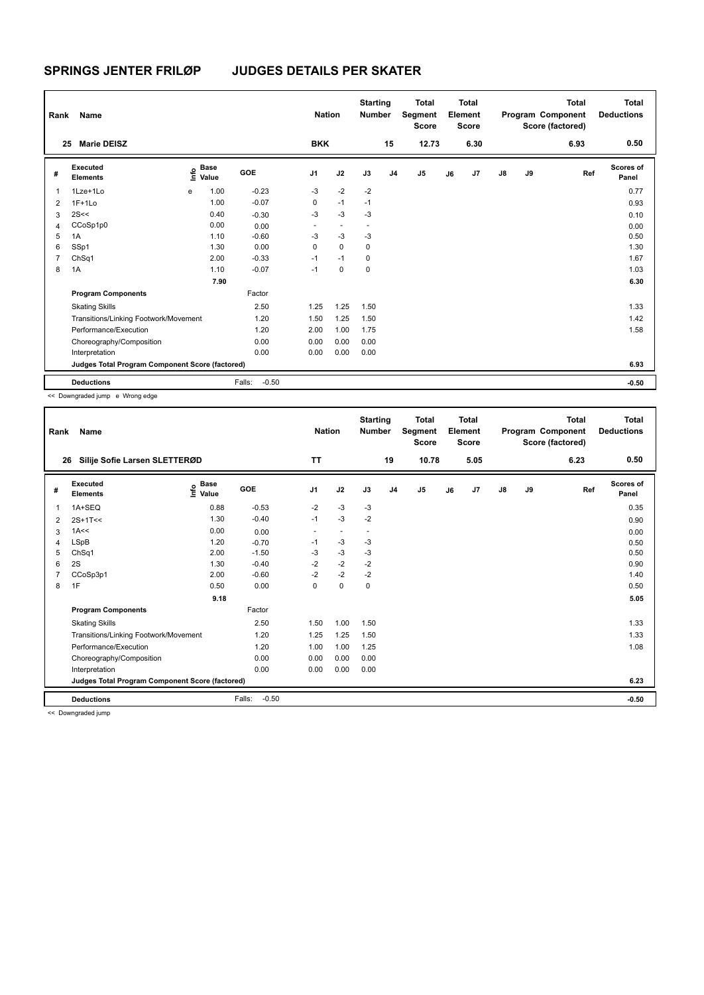| Rank           | Name                                            |    |               |                   | <b>Nation</b>            |                          | <b>Starting</b><br><b>Number</b> |                | <b>Total</b><br>Segment<br><b>Score</b> |    | <b>Total</b><br>Element<br><b>Score</b> |               |    | Total<br>Program Component<br>Score (factored) | <b>Total</b><br><b>Deductions</b> |
|----------------|-------------------------------------------------|----|---------------|-------------------|--------------------------|--------------------------|----------------------------------|----------------|-----------------------------------------|----|-----------------------------------------|---------------|----|------------------------------------------------|-----------------------------------|
| 25             | <b>Marie DEISZ</b>                              |    |               |                   | <b>BKK</b>               |                          |                                  | 15             | 12.73                                   |    | 6.30                                    |               |    | 6.93                                           | 0.50                              |
| #              | Executed<br><b>Elements</b>                     | ١m | Base<br>Value | <b>GOE</b>        | J <sub>1</sub>           | J2                       | J3                               | J <sub>4</sub> | J5                                      | J6 | J <sub>7</sub>                          | $\mathsf{J}8$ | J9 | Ref                                            | Scores of<br>Panel                |
| $\mathbf{1}$   | 1Lze+1Lo                                        | e  | 1.00          | $-0.23$           | $-3$                     | $-2$                     | $-2$                             |                |                                         |    |                                         |               |    |                                                | 0.77                              |
| $\overline{2}$ | $1F+1Lo$                                        |    | 1.00          | $-0.07$           | 0                        | $-1$                     | $-1$                             |                |                                         |    |                                         |               |    |                                                | 0.93                              |
| 3              | 2S<<                                            |    | 0.40          | $-0.30$           | $-3$                     | $-3$                     | $-3$                             |                |                                         |    |                                         |               |    |                                                | 0.10                              |
| $\overline{4}$ | CCoSp1p0                                        |    | 0.00          | 0.00              | $\overline{\phantom{a}}$ | $\overline{\phantom{a}}$ |                                  |                |                                         |    |                                         |               |    |                                                | 0.00                              |
| 5              | 1A                                              |    | 1.10          | $-0.60$           | $-3$                     | $-3$                     | $-3$                             |                |                                         |    |                                         |               |    |                                                | 0.50                              |
| 6              | SSp1                                            |    | 1.30          | 0.00              | 0                        | $\mathbf 0$              | 0                                |                |                                         |    |                                         |               |    |                                                | 1.30                              |
| 7              | ChSq1                                           |    | 2.00          | $-0.33$           | $-1$                     | $-1$                     | 0                                |                |                                         |    |                                         |               |    |                                                | 1.67                              |
| 8              | 1A                                              |    | 1.10          | $-0.07$           | $-1$                     | $\mathbf 0$              | $\mathbf 0$                      |                |                                         |    |                                         |               |    |                                                | 1.03                              |
|                |                                                 |    | 7.90          |                   |                          |                          |                                  |                |                                         |    |                                         |               |    |                                                | 6.30                              |
|                | <b>Program Components</b>                       |    |               | Factor            |                          |                          |                                  |                |                                         |    |                                         |               |    |                                                |                                   |
|                | <b>Skating Skills</b>                           |    |               | 2.50              | 1.25                     | 1.25                     | 1.50                             |                |                                         |    |                                         |               |    |                                                | 1.33                              |
|                | Transitions/Linking Footwork/Movement           |    |               | 1.20              | 1.50                     | 1.25                     | 1.50                             |                |                                         |    |                                         |               |    |                                                | 1.42                              |
|                | Performance/Execution                           |    |               | 1.20              | 2.00                     | 1.00                     | 1.75                             |                |                                         |    |                                         |               |    |                                                | 1.58                              |
|                | Choreography/Composition                        |    |               | 0.00              | 0.00                     | 0.00                     | 0.00                             |                |                                         |    |                                         |               |    |                                                |                                   |
|                | Interpretation                                  |    |               | 0.00              | 0.00                     | 0.00                     | 0.00                             |                |                                         |    |                                         |               |    |                                                |                                   |
|                | Judges Total Program Component Score (factored) |    |               |                   |                          |                          |                                  |                |                                         |    |                                         |               |    |                                                | 6.93                              |
|                | <b>Deductions</b>                               |    |               | $-0.50$<br>Falls: |                          |                          |                                  |                |                                         |    |                                         |               |    |                                                | $-0.50$                           |

<< Downgraded jump e Wrong edge

| Rank | Name                                            |                                  |                   | <b>Nation</b>            |           | <b>Starting</b><br><b>Number</b> |                | <b>Total</b><br>Segment<br><b>Score</b> |    | <b>Total</b><br>Element<br><b>Score</b> |               |    | <b>Total</b><br>Program Component<br>Score (factored) | <b>Total</b><br><b>Deductions</b> |
|------|-------------------------------------------------|----------------------------------|-------------------|--------------------------|-----------|----------------------------------|----------------|-----------------------------------------|----|-----------------------------------------|---------------|----|-------------------------------------------------------|-----------------------------------|
| 26   | Silije Sofie Larsen SLETTERØD                   |                                  |                   | <b>TT</b>                |           |                                  | 19             | 10.78                                   |    | 5.05                                    |               |    | 6.23                                                  | 0.50                              |
| #    | Executed<br><b>Elements</b>                     | <b>Base</b><br>e Base<br>⊑ Value | GOE               | J <sub>1</sub>           | J2        | J3                               | J <sub>4</sub> | J5                                      | J6 | J <sub>7</sub>                          | $\mathsf{J}8$ | J9 | Ref                                                   | <b>Scores of</b><br>Panel         |
| -1   | 1A+SEQ                                          | 0.88                             | $-0.53$           | $-2$                     | $-3$      | $-3$                             |                |                                         |    |                                         |               |    |                                                       | 0.35                              |
| 2    | $2S+1T<<$                                       | 1.30                             | $-0.40$           | $-1$                     | $-3$      | $-2$                             |                |                                         |    |                                         |               |    |                                                       | 0.90                              |
| 3    | 1A<<                                            | 0.00                             | 0.00              | $\overline{\phantom{a}}$ | $\sim$    | $\overline{\phantom{a}}$         |                |                                         |    |                                         |               |    |                                                       | 0.00                              |
| 4    | <b>LSpB</b>                                     | 1.20                             | $-0.70$           | $-1$                     | $-3$      | $-3$                             |                |                                         |    |                                         |               |    |                                                       | 0.50                              |
| 5    | ChSq1                                           | 2.00                             | $-1.50$           | $-3$                     | $-3$      | -3                               |                |                                         |    |                                         |               |    |                                                       | 0.50                              |
| 6    | 2S                                              | 1.30                             | $-0.40$           | $-2$                     | $-2$      | $-2$                             |                |                                         |    |                                         |               |    |                                                       | 0.90                              |
|      | CCoSp3p1                                        | 2.00                             | $-0.60$           | $-2$                     | $-2$      | $-2$                             |                |                                         |    |                                         |               |    |                                                       | 1.40                              |
| 8    | 1F                                              | 0.50                             | 0.00              | 0                        | $\pmb{0}$ | 0                                |                |                                         |    |                                         |               |    |                                                       | 0.50                              |
|      |                                                 | 9.18                             |                   |                          |           |                                  |                |                                         |    |                                         |               |    |                                                       | 5.05                              |
|      | <b>Program Components</b>                       |                                  | Factor            |                          |           |                                  |                |                                         |    |                                         |               |    |                                                       |                                   |
|      | <b>Skating Skills</b>                           |                                  | 2.50              | 1.50                     | 1.00      | 1.50                             |                |                                         |    |                                         |               |    |                                                       | 1.33                              |
|      | Transitions/Linking Footwork/Movement           |                                  | 1.20              | 1.25                     | 1.25      | 1.50                             |                |                                         |    |                                         |               |    |                                                       | 1.33                              |
|      | Performance/Execution                           |                                  | 1.20              | 1.00                     | 1.00      | 1.25                             |                |                                         |    |                                         |               |    |                                                       | 1.08                              |
|      | Choreography/Composition                        |                                  | 0.00              | 0.00                     | 0.00      | 0.00                             |                |                                         |    |                                         |               |    |                                                       |                                   |
|      | Interpretation                                  |                                  | 0.00              | 0.00                     | 0.00      | 0.00                             |                |                                         |    |                                         |               |    |                                                       |                                   |
|      | Judges Total Program Component Score (factored) |                                  |                   |                          |           |                                  |                |                                         |    |                                         |               |    |                                                       | 6.23                              |
|      | <b>Deductions</b>                               |                                  | Falls:<br>$-0.50$ |                          |           |                                  |                |                                         |    |                                         |               |    |                                                       | $-0.50$                           |
|      | and in Processing and a distance of the country |                                  |                   |                          |           |                                  |                |                                         |    |                                         |               |    |                                                       |                                   |

<< Downgraded jump